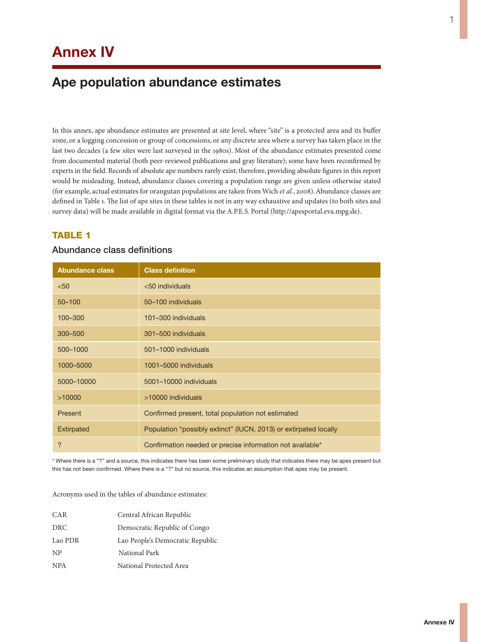# **Annex IV**

## **Ape population abundance estimates**

In this annex, ape abundance estimates are presented at site level, where "site" is a protected area and its buffer zone, or a logging concession or group of concessions, or any discrete area where a survey has taken place in the last two decades (a few sites were last surveyed in the 1980s). Most of the abundance estimates presented come from documented material (both peer-reviewed publications and gray literature); some have been reconfirmed by experts in the field. Records of absolute ape numbers rarely exist; therefore, providing absolute figures in this report would be misleading. Instead, abundance classes covering a population range are given unless otherwise stated (for example, actual estimates for orangutan populations are taken from Wich *et al.*, 2008). Abundance classes are defined in Table 1. The list of ape sites in these tables is not in any way exhaustive and updates (to both sites and survey data) will be made available in digital format via the A.P.E.S. Portal (http://apesportal.eva.mpg.de).

#### **TABLE 1**

#### Abundance class definitions

| <b>Abundance class</b> | <b>Class definition</b>                                          |
|------------------------|------------------------------------------------------------------|
| < 50                   | $<$ 50 individuals                                               |
| $50 - 100$             | 50-100 individuals                                               |
| 100-300                | 101-300 individuals                                              |
| 300-500                | 301-500 individuals                                              |
| 500-1000               | 501-1000 individuals                                             |
| 1000-5000              | 1001-5000 individuals                                            |
| 5000-10000             | 5001-10000 individuals                                           |
| >10000                 | >10000 individuals                                               |
| <b>Present</b>         | Confirmed present, total population not estimated                |
| <b>Extirpated</b>      | Population "possibly extinct" (IUCN, 2013) or extirpated locally |
| ?                      | Confirmation needed or precise information not available*        |

\* Where there is a "?" and a source, this indicates there has been some preliminary study that indicates there may be apes present but this has not been confirmed. Where there is a "?" but no source, this indicates an assumption that apes may be present.

Acronyms used in the tables of abundance estimates:

| CAR        | Central African Republic         |
|------------|----------------------------------|
| DRC        | Democratic Republic of Congo     |
| Lao PDR    | Lao People's Democratic Republic |
| NP         | National Park                    |
| <b>NPA</b> | National Protected Area          |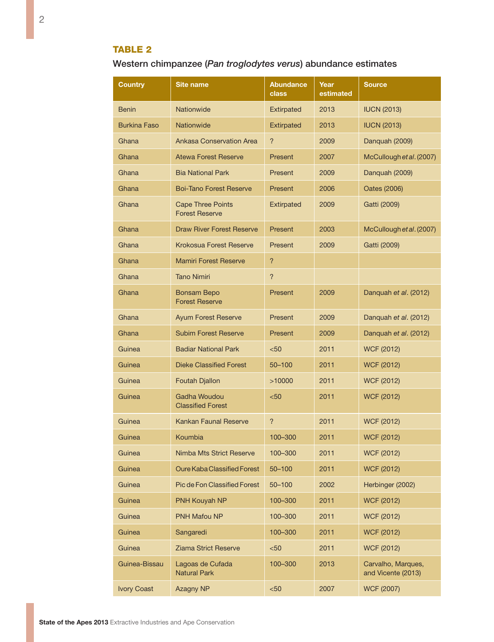## Table 2

Western chimpanzee (*Pan troglodytes verus*) abundance estimates

| Country             | Site name                                         | <b>Abundance</b><br>class | Year<br>estimated | <b>Source</b>                            |
|---------------------|---------------------------------------------------|---------------------------|-------------------|------------------------------------------|
| <b>Benin</b>        | Nationwide                                        | <b>Extirpated</b>         | 2013              | <b>IUCN (2013)</b>                       |
| <b>Burkina Faso</b> | Nationwide                                        | <b>Extirpated</b>         | 2013              | <b>IUCN (2013)</b>                       |
| Ghana               | <b>Ankasa Conservation Area</b>                   | ?                         | 2009              | Danquah (2009)                           |
| Ghana               | <b>Atewa Forest Reserve</b>                       | Present                   | 2007              | McCullough et al. (2007)                 |
| Ghana               | <b>Bia National Park</b>                          | Present                   | 2009              | Danquah (2009)                           |
| Ghana               | <b>Boi-Tano Forest Reserve</b>                    | Present                   | 2006              | Oates (2006)                             |
| Ghana               | <b>Cape Three Points</b><br><b>Forest Reserve</b> | <b>Extirpated</b>         | 2009              | Gatti (2009)                             |
| Ghana               | <b>Draw River Forest Reserve</b>                  | Present                   | 2003              | McCullough et al. (2007)                 |
| Ghana               | <b>Krokosua Forest Reserve</b>                    | Present                   | 2009              | Gatti (2009)                             |
| Ghana               | <b>Mamiri Forest Reserve</b>                      | $\overline{?}$            |                   |                                          |
| Ghana               | <b>Tano Nimiri</b>                                | $\overline{?}$            |                   |                                          |
| Ghana               | <b>Bonsam Bepo</b><br><b>Forest Reserve</b>       | Present                   | 2009              | Danquah et al. (2012)                    |
| Ghana               | <b>Ayum Forest Reserve</b>                        | Present                   | 2009              | Danquah et al. (2012)                    |
| Ghana               | <b>Subim Forest Reserve</b>                       | Present                   | 2009              | Danquah et al. (2012)                    |
| Guinea              | <b>Badiar National Park</b>                       | $50$                      | 2011              | <b>WCF (2012)</b>                        |
| Guinea              | <b>Dieke Classified Forest</b>                    | $50 - 100$                | 2011              | <b>WCF (2012)</b>                        |
| Guinea              | <b>Foutah Djallon</b>                             | >10000                    | 2011              | <b>WCF (2012)</b>                        |
| Guinea              | <b>Gadha Woudou</b><br><b>Classified Forest</b>   | $50$                      | 2011              | <b>WCF (2012)</b>                        |
| Guinea              | <b>Kankan Faunal Reserve</b>                      | ?                         | 2011              | <b>WCF (2012)</b>                        |
| Guinea              | Koumbia                                           | 100-300                   | 2011              | <b>WCF (2012)</b>                        |
| Guinea              | Nimba Mts Strict Reserve                          | 100-300                   | 2011              | <b>WCF (2012)</b>                        |
| Guinea              | Oure Kaba Classified Forest                       | 50-100                    | 2011              | <b>WCF (2012)</b>                        |
| Guinea              | <b>Pic de Fon Classified Forest</b>               | 50-100                    | 2002              | Herbinger (2002)                         |
| Guinea              | PNH Kouyah NP                                     | 100-300                   | 2011              | <b>WCF (2012)</b>                        |
| Guinea              | PNH Mafou NP                                      | 100-300                   | 2011              | <b>WCF (2012)</b>                        |
| Guinea              | Sangaredi                                         | 100-300                   | 2011              | <b>WCF (2012)</b>                        |
| Guinea              | Ziama Strict Reserve                              | $50$                      | 2011              | <b>WCF (2012)</b>                        |
| Guinea-Bissau       | Lagoas de Cufada<br><b>Natural Park</b>           | 100-300                   | 2013              | Carvalho, Marques,<br>and Vicente (2013) |
| <b>Ivory Coast</b>  | Azagny NP                                         | < 50                      | 2007              | <b>WCF (2007)</b>                        |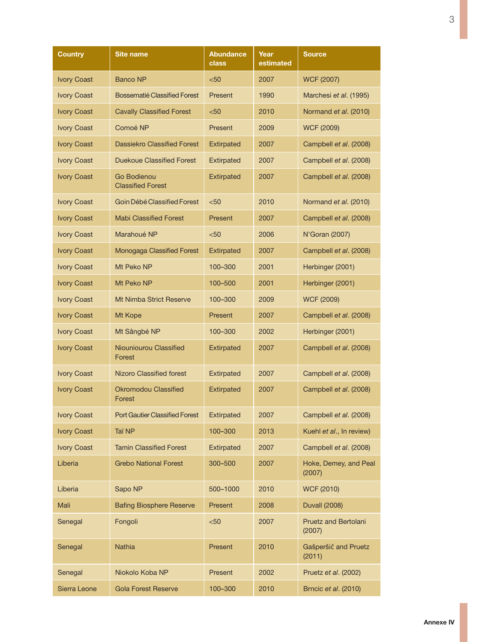| Country            | <b>Site name</b>                               | Abundance<br>class | Year<br>estimated | <b>Source</b>                         |
|--------------------|------------------------------------------------|--------------------|-------------------|---------------------------------------|
| <b>Ivory Coast</b> | <b>Banco NP</b>                                | $50$               | 2007              | <b>WCF (2007)</b>                     |
| <b>Ivory Coast</b> | Bossematié Classified Forest                   | Present            | 1990              | Marchesi et al. (1995)                |
| <b>Ivory Coast</b> | <b>Cavally Classified Forest</b>               | $50$               | 2010              | Normand et al. (2010)                 |
| <b>Ivory Coast</b> | Comoé NP                                       | Present            | 2009              | <b>WCF (2009)</b>                     |
| <b>Ivory Coast</b> | <b>Dassiekro Classified Forest</b>             | <b>Extirpated</b>  | 2007              | Campbell et al. (2008)                |
| <b>Ivory Coast</b> | Duekoue Classified Forest                      | <b>Extirpated</b>  | 2007              | Campbell et al. (2008)                |
| <b>Ivory Coast</b> | <b>Go Bodienou</b><br><b>Classified Forest</b> | <b>Extirpated</b>  | 2007              | Campbell et al. (2008)                |
| <b>Ivory Coast</b> | Goin Débé Classified Forest                    | < 50               | 2010              | Normand et al. (2010)                 |
| <b>Ivory Coast</b> | <b>Mabi Classified Forest</b>                  | Present            | 2007              | Campbell et al. (2008)                |
| <b>Ivory Coast</b> | Marahoué NP                                    | $50$               | 2006              | N'Goran (2007)                        |
| <b>Ivory Coast</b> | Monogaga Classified Forest                     | <b>Extirpated</b>  | 2007              | Campbell et al. (2008)                |
| <b>Ivory Coast</b> | Mt Peko NP                                     | 100-300            | 2001              | Herbinger (2001)                      |
| <b>Ivory Coast</b> | Mt Peko NP                                     | 100-500            | 2001              | Herbinger (2001)                      |
| <b>Ivory Coast</b> | <b>Mt Nimba Strict Reserve</b>                 | 100-300            | 2009              | <b>WCF (2009)</b>                     |
| <b>Ivory Coast</b> | Mt Kope                                        | Present            | 2007              | Campbell et al. (2008)                |
| <b>Ivory Coast</b> | Mt Sângbé NP                                   | 100-300            | 2002              | Herbinger (2001)                      |
| <b>Ivory Coast</b> | Niouniourou Classified<br>Forest               | <b>Extirpated</b>  | 2007              | Campbell et al. (2008)                |
| <b>Ivory Coast</b> | <b>Nizoro Classified forest</b>                | <b>Extirpated</b>  | 2007              | Campbell et al. (2008)                |
| <b>Ivory Coast</b> | <b>Okromodou Classified</b><br>Forest          | <b>Extirpated</b>  | 2007              | Campbell et al. (2008)                |
| <b>Ivory Coast</b> | <b>Port Gautier Classified Forest</b>          | <b>Extirpated</b>  | 2007              | Campbell et al. (2008)                |
| <b>Ivory Coast</b> | Taï NP                                         | 100-300            | 2013              | Kuehl et al., In review)              |
| <b>Ivory Coast</b> | <b>Tamin Classified Forest</b>                 | Extirpated         | 2007              | Campbell et al. (2008)                |
| Liberia            | <b>Grebo National Forest</b>                   | 300-500            | 2007              | Hoke, Demey, and Peal<br>(2007)       |
| Liberia            | Sapo NP                                        | 500-1000           | 2010              | <b>WCF (2010)</b>                     |
| Mali               | <b>Bafing Biosphere Reserve</b>                | Present            | 2008              | <b>Duvall (2008)</b>                  |
| Senegal            | Fongoli                                        | $50$               | 2007              | <b>Pruetz and Bertolani</b><br>(2007) |
| Senegal            | Nathia                                         | Present            | 2010              | Gašperšič and Pruetz<br>(2011)        |
| Senegal            | Niokolo Koba NP                                | Present            | 2002              | Pruetz et al. (2002)                  |
| Sierra Leone       | Gola Forest Reserve                            | 100-300            | 2010              | Brncic et al. (2010)                  |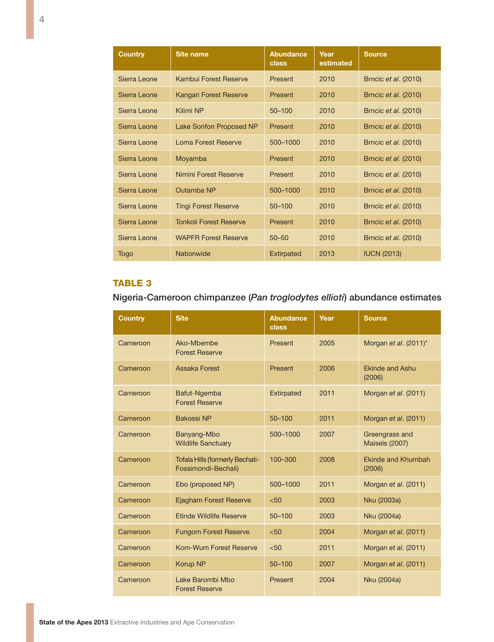| <b>Country</b> | Site name                     | <b>Abundance</b><br>class | Year<br>estimated | <b>Source</b>               |
|----------------|-------------------------------|---------------------------|-------------------|-----------------------------|
| Sierra Leone   | Kambui Forest Reserve         | Present                   | 2010              | Brncic et al. (2010)        |
| Sierra Leone   | <b>Kangari Forest Reserve</b> | Present                   | 2010              | Brncic et al. (2010)        |
| Sierra Leone   | Kilimi NP                     | $50 - 100$                | 2010              | Brncic <i>et al.</i> (2010) |
| Sierra Leone   | Lake Sonfon Proposed NP       | Present                   | 2010              | Brncic <i>et al.</i> (2010) |
| Sierra Leone   | <b>Loma Forest Reserve</b>    | 500-1000                  | 2010              | Brncic <i>et al.</i> (2010) |
| Sierra Leone   | Moyamba                       | Present                   | 2010              | Brncic et al. (2010)        |
| Sierra Leone   | Nimini Forest Reserve         | Present                   | 2010              | Brncic et al. (2010)        |
| Sierra Leone   | Outamba NP                    | 500-1000                  | 2010              | Brncic et al. (2010)        |
| Sierra Leone   | <b>Tingi Forest Reserve</b>   | $50 - 100$                | 2010              | Brncic et al. (2010)        |
| Sierra Leone   | <b>Tonkoli Forest Reserve</b> | Present                   | 2010              | Brncic et al. (2010)        |
| Sierra Leone   | <b>WAPFR Forest Reserve</b>   | $50 - 50$                 | 2010              | Brncic et al. (2010)        |
| Togo           | Nationwide                    | <b>Extirpated</b>         | 2013              | <b>IUCN (2013)</b>          |

Nigeria-Cameroon chimpanzee (*Pan troglodytes ellioti*) abundance estimates

| Country  | <b>Site</b>                                                   | <b>Abundance</b><br>class | Year | <b>Source</b>                           |
|----------|---------------------------------------------------------------|---------------------------|------|-----------------------------------------|
| Cameroon | Ako-Mbembe<br><b>Forest Reserve</b>                           | Present                   | 2005 | Morgan et al. (2011)*                   |
| Cameroon | <b>Assaka Forest</b>                                          | Present                   | 2006 | <b>Ekinde and Ashu</b><br>(2006)        |
| Cameroon | Bafut-Ngemba<br><b>Forest Reserve</b>                         | <b>Extirpated</b>         | 2011 | Morgan et al. (2011)                    |
| Cameroon | <b>Bakossi NP</b>                                             | $50 - 100$                | 2011 | Morgan et al. (2011)                    |
| Cameroon | Banyang-Mbo<br><b>Wildlife Sanctuary</b>                      | 500-1000                  | 2007 | Greengrass and<br><b>Maisels (2007)</b> |
| Cameroon | <b>Tofala Hills (formerly Bechati-</b><br>Fossimondi-Bechali) | 100-300                   | 2008 | <b>Ekinde and Khumbah</b><br>(2006)     |
| Cameroon | Ebo (proposed NP)                                             | 500-1000                  | 2011 | Morgan et al. (2011)                    |
| Cameroon | <b>Ejagham Forest Reserve</b>                                 | < 50                      | 2003 | Nku (2003a)                             |
| Cameroon | <b>Ftinde Wildlife Reserve</b>                                | $50 - 100$                | 2003 | Nku (2004a)                             |
| Cameroon | <b>Fungom Forest Reserve</b>                                  | < 50                      | 2004 | Morgan et al. (2011)                    |
| Cameroon | Kom-Wum Forest Reserve                                        | < 50                      | 2011 | Morgan et al. (2011)                    |
| Cameroon | <b>Korup NP</b>                                               | $50 - 100$                | 2007 | Morgan et al. (2011)                    |
| Cameroon | Lake Barombi Mbo<br><b>Forest Reserve</b>                     | Present                   | 2004 | Nku (2004a)                             |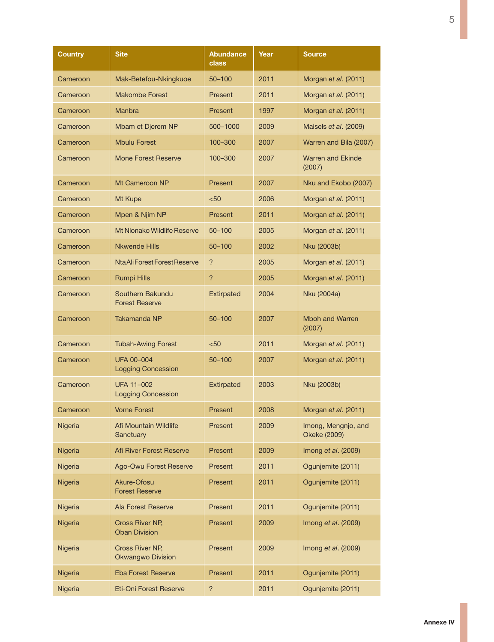| Country  | <b>Site</b>                                    | <b>Abundance</b><br>class | Year | <b>Source</b>                       |
|----------|------------------------------------------------|---------------------------|------|-------------------------------------|
| Cameroon | Mak-Betefou-Nkingkuoe                          | $50 - 100$                | 2011 | Morgan et al. (2011)                |
| Cameroon | Makombe Forest                                 | Present                   | 2011 | Morgan <i>et al.</i> (2011)         |
| Cameroon | Manbra                                         | Present                   | 1997 | Morgan et al. (2011)                |
| Cameroon | Mbam et Djerem NP                              | 500-1000                  | 2009 | Maisels et al. (2009)               |
| Cameroon | <b>Mbulu Forest</b>                            | 100-300                   | 2007 | Warren and Bila (2007)              |
| Cameroon | Mone Forest Reserve                            | 100-300                   | 2007 | <b>Warren and Ekinde</b><br>(2007)  |
| Cameroon | Mt Cameroon NP                                 | Present                   | 2007 | Nku and Ekobo (2007)                |
| Cameroon | Mt Kupe                                        | < 50                      | 2006 | Morgan et al. (2011)                |
| Cameroon | Mpen & Njim NP                                 | <b>Present</b>            | 2011 | Morgan et al. (2011)                |
| Cameroon | Mt Nlonako Wildlife Reserve                    | $50 - 100$                | 2005 | Morgan et al. (2011)                |
| Cameroon | <b>Nkwende Hills</b>                           | $50 - 100$                | 2002 | Nku (2003b)                         |
| Cameroon | Nta Ali Forest Forest Reserve                  | ?                         | 2005 | Morgan et al. (2011)                |
| Cameroon | <b>Rumpi Hills</b>                             | ?                         | 2005 | Morgan et al. (2011)                |
| Cameroon | Southern Bakundu<br><b>Forest Reserve</b>      | <b>Extirpated</b>         | 2004 | Nku (2004a)                         |
| Cameroon | Takamanda NP                                   | 50-100                    | 2007 | <b>Mboh and Warren</b><br>(2007)    |
| Cameroon | <b>Tubah-Awing Forest</b>                      | $50$                      | 2011 | Morgan et al. (2011)                |
| Cameroon | <b>UFA 00-004</b><br><b>Logging Concession</b> | $50 - 100$                | 2007 | Morgan et al. (2011)                |
| Cameroon | UFA 11-002<br><b>Logging Concession</b>        | <b>Extirpated</b>         | 2003 | Nku (2003b)                         |
| Cameroon | <b>Vome Forest</b>                             | Present                   | 2008 | Morgan et al. (2011)                |
| Nigeria  | Afi Mountain Wildlife<br>Sanctuary             | Present                   | 2009 | Imong, Mengnjo, and<br>Okeke (2009) |
| Nigeria  | Afi River Forest Reserve                       | Present                   | 2009 | Imong $et$ al. (2009)               |
| Nigeria  | Ago-Owu Forest Reserve                         | Present                   | 2011 | Ogunjemite (2011)                   |
| Nigeria  | Akure-Ofosu<br><b>Forest Reserve</b>           | Present                   | 2011 | Ogunjemite (2011)                   |
| Nigeria  | Ala Forest Reserve                             | Present                   | 2011 | Ogunjemite (2011)                   |
| Nigeria  | Cross River NP,<br><b>Oban Division</b>        | Present                   | 2009 | Imong et al. (2009)                 |
| Nigeria  | Cross River NP,<br><b>Okwangwo Division</b>    | Present                   | 2009 | Imong et al. (2009)                 |
| Nigeria  | <b>Eba Forest Reserve</b>                      | Present                   | 2011 | Ogunjemite (2011)                   |
| Nigeria  | Eti-Oni Forest Reserve                         | $\overline{\phantom{a}}$  | 2011 | Ogunjemite (2011)                   |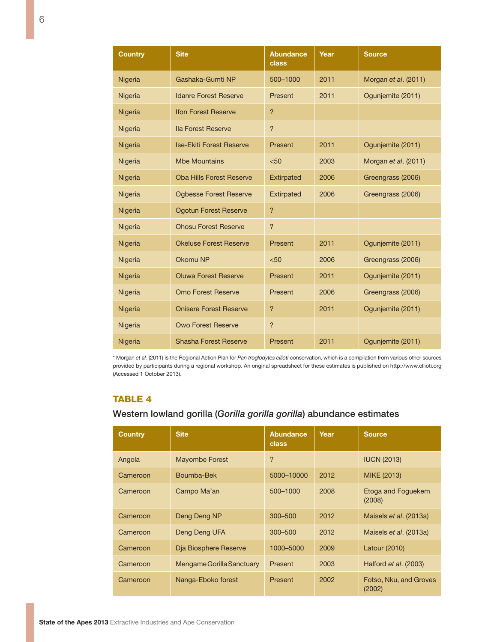| <b>Country</b> | <b>Site</b>                     | <b>Abundance</b><br>class | Year | <b>Source</b>        |
|----------------|---------------------------------|---------------------------|------|----------------------|
| Nigeria        | Gashaka-Gumti NP                | 500-1000                  | 2011 | Morgan et al. (2011) |
| Nigeria        | <b>Idanre Forest Reserve</b>    | Present                   | 2011 | Ogunjemite (2011)    |
| Nigeria        | <b>Ifon Forest Reserve</b>      | ?                         |      |                      |
| Nigeria        | lla Forest Reserve              | $\overline{?}$            |      |                      |
| Nigeria        | <b>Ise-Ekiti Forest Reserve</b> | Present                   | 2011 | Ogunjemite (2011)    |
| Nigeria        | <b>Mbe Mountains</b>            | < 50                      | 2003 | Morgan et al. (2011) |
| Nigeria        | <b>Oba Hills Forest Reserve</b> | <b>Extirpated</b>         | 2006 | Greengrass (2006)    |
| Nigeria        | <b>Ogbesse Forest Reserve</b>   | Extirpated                | 2006 | Greengrass (2006)    |
| Nigeria        | <b>Ogotun Forest Reserve</b>    | $\overline{?}$            |      |                      |
| Nigeria        | <b>Ohosu Forest Reserve</b>     | $\overline{?}$            |      |                      |
| Nigeria        | <b>Okeluse Forest Reserve</b>   | Present                   | 2011 | Ogunjemite (2011)    |
| Nigeria        | Okomu NP                        | < 50                      | 2006 | Greengrass (2006)    |
| Nigeria        | <b>Oluwa Forest Reserve</b>     | Present                   | 2011 | Ogunjemite (2011)    |
| Nigeria        | <b>Omo Forest Reserve</b>       | Present                   | 2006 | Greengrass (2006)    |
| Nigeria        | <b>Onisere Forest Reserve</b>   | $\overline{?}$            | 2011 | Ogunjemite (2011)    |
| Nigeria        | <b>Owo Forest Reserve</b>       | $\overline{?}$            |      |                      |
| Nigeria        | <b>Shasha Forest Reserve</b>    | Present                   | 2011 | Ogunjemite (2011)    |

\* Morgan *et al.* (2011) is the Regional Action Plan for *Pan troglodytes ellioti* conservation, which is a compilation from various other sources provided by participants during a regional workshop. An original spreadsheet for these estimates is published on http://www.ellioti.org (Accessed 1 October 2013).

#### TABLE<sub>4</sub>

#### Western lowland gorilla (*Gorilla gorilla gorilla*) abundance estimates

| <b>Country</b> | <b>Site</b>               | <b>Abundance</b><br><b>class</b> | Year | <b>Source</b>                    |
|----------------|---------------------------|----------------------------------|------|----------------------------------|
| Angola         | <b>Mayombe Forest</b>     | ?                                |      | <b>IUCN (2013)</b>               |
| Cameroon       | Boumba-Bek                | 5000-10000                       | 2012 | MIKE (2013)                      |
| Cameroon       | Campo Ma'an               | 500-1000                         | 2008 | Etoga and Foguekem<br>(2008)     |
| Cameroon       | Deng Deng NP              | 300-500                          | 2012 | Maisels et al. (2013a)           |
| Cameroon       | Deng Deng UFA             | $300 - 500$                      | 2012 | Maisels et al. (2013a)           |
| Cameroon       | Dia Biosphere Reserve     | 1000-5000                        | 2009 | Latour (2010)                    |
| Cameroon       | Mengame Gorilla Sanctuary | Present                          | 2003 | Halford et al. (2003)            |
| Cameroon       | Nanga-Eboko forest        | Present                          | 2002 | Fotso, Nku, and Groves<br>(2002) |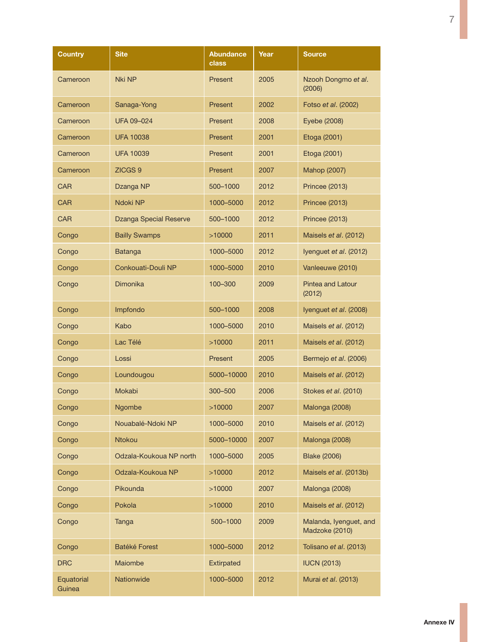| Country              | <b>Site</b>             | <b>Abundance</b><br>class | Year | <b>Source</b>                            |
|----------------------|-------------------------|---------------------------|------|------------------------------------------|
| Cameroon             | Nki NP                  | Present                   | 2005 | Nzooh Dongmo et al.<br>(2006)            |
| Cameroon             | Sanaga-Yong             | Present                   | 2002 | Fotso et al. (2002)                      |
| Cameroon             | <b>UFA 09-024</b>       | Present                   | 2008 | Eyebe (2008)                             |
| Cameroon             | <b>UFA 10038</b>        | Present                   | 2001 | Etoga (2001)                             |
| Cameroon             | <b>UFA 10039</b>        | Present                   | 2001 | Etoga (2001)                             |
| Cameroon             | ZICGS <sub>9</sub>      | Present                   | 2007 | Mahop (2007)                             |
| <b>CAR</b>           | Dzanga NP               | 500-1000                  | 2012 | Princee (2013)                           |
| <b>CAR</b>           | Ndoki NP                | 1000-5000                 | 2012 | <b>Princee (2013)</b>                    |
| <b>CAR</b>           | Dzanga Special Reserve  | 500-1000                  | 2012 | <b>Princee (2013)</b>                    |
| Congo                | <b>Bailly Swamps</b>    | >10000                    | 2011 | Maisels et al. (2012)                    |
| Congo                | Batanga                 | 1000-5000                 | 2012 | Iyenguet et al. (2012)                   |
| Congo                | Conkouati-Douli NP      | 1000-5000                 | 2010 | Vanleeuwe (2010)                         |
| Congo                | Dimonika                | 100-300                   | 2009 | <b>Pintea and Latour</b><br>(2012)       |
| Congo                | Impfondo                | 500-1000                  | 2008 | Iyenguet et al. (2008)                   |
| Congo                | Kabo                    | 1000-5000                 | 2010 | Maisels et al. (2012)                    |
| Congo                | Lac Télé                | >10000                    | 2011 | Maisels et al. (2012)                    |
| Congo                | Lossi                   | Present                   | 2005 | Bermejo et al. (2006)                    |
| Congo                | Loundougou              | 5000-10000                | 2010 | Maisels et al. (2012)                    |
| Congo                | Mokabi                  | 300-500                   | 2006 | Stokes et al. (2010)                     |
| Congo                | <b>Ngombe</b>           | >10000                    | 2007 | Malonga (2008)                           |
| Congo                | Nouabalé-Ndoki NP       | 1000-5000                 | 2010 | Maisels et al. (2012)                    |
| Congo                | Ntokou                  | 5000-10000                | 2007 | Malonga (2008)                           |
| Congo                | Odzala-Koukoua NP north | 1000-5000                 | 2005 | <b>Blake (2006)</b>                      |
| Congo                | Odzala-Koukoua NP       | >10000                    | 2012 | Maisels et al. (2013b)                   |
| Congo                | Pikounda                | >10000                    | 2007 | Malonga (2008)                           |
| Congo                | Pokola                  | >10000                    | 2010 | Maisels et al. (2012)                    |
| Congo                | Tanga                   | 500-1000                  | 2009 | Malanda, Iyenguet, and<br>Madzoke (2010) |
| Congo                | Batéké Forest           | 1000-5000                 | 2012 | Tolisano et al. (2013)                   |
| <b>DRC</b>           | Maiombe                 | <b>Extirpated</b>         |      | <b>IUCN (2013)</b>                       |
| Equatorial<br>Guinea | Nationwide              | 1000-5000                 | 2012 | Murai et al. (2013)                      |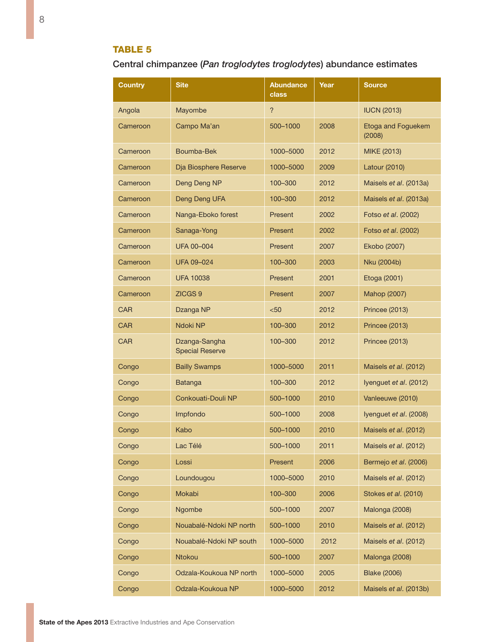## Table 5

Central chimpanzee (*Pan troglodytes troglodytes*) abundance estimates

| Country    | Site                                    | <b>Abundance</b><br>class | Year | Source                       |
|------------|-----------------------------------------|---------------------------|------|------------------------------|
| Angola     | Mayombe                                 | $\overline{?}$            |      | <b>IUCN (2013)</b>           |
| Cameroon   | Campo Ma'an                             | 500-1000                  | 2008 | Etoga and Foguekem<br>(2008) |
| Cameroon   | Boumba-Bek                              | 1000-5000                 | 2012 | MIKE (2013)                  |
| Cameroon   | Dja Biosphere Reserve                   | 1000-5000                 | 2009 | Latour (2010)                |
| Cameroon   | Deng Deng NP                            | 100-300                   | 2012 | Maisels et al. (2013a)       |
| Cameroon   | Deng Deng UFA                           | 100-300                   | 2012 | Maisels et al. (2013a)       |
| Cameroon   | Nanga-Eboko forest                      | Present                   | 2002 | Fotso et al. (2002)          |
| Cameroon   | Sanaga-Yong                             | Present                   | 2002 | Fotso et al. (2002)          |
| Cameroon   | <b>UFA 00-004</b>                       | Present                   | 2007 | Ekobo (2007)                 |
| Cameroon   | <b>UFA 09-024</b>                       | 100-300                   | 2003 | Nku (2004b)                  |
| Cameroon   | <b>UFA 10038</b>                        | Present                   | 2001 | Etoga (2001)                 |
| Cameroon   | ZICGS <sub>9</sub>                      | Present                   | 2007 | Mahop (2007)                 |
| <b>CAR</b> | Dzanga NP                               | $50$                      | 2012 | <b>Princee (2013)</b>        |
| <b>CAR</b> | Ndoki NP                                | 100-300                   | 2012 | <b>Princee (2013)</b>        |
| <b>CAR</b> | Dzanga-Sangha<br><b>Special Reserve</b> | 100-300                   | 2012 | <b>Princee (2013)</b>        |
| Congo      | <b>Bailly Swamps</b>                    | 1000-5000                 | 2011 | Maisels et al. (2012)        |
| Congo      | <b>Batanga</b>                          | 100-300                   | 2012 | lyenguet et al. (2012)       |
| Congo      | Conkouati-Douli NP                      | 500-1000                  | 2010 | Vanleeuwe (2010)             |
| Congo      | Impfondo                                | 500-1000                  | 2008 | Iyenguet et al. (2008)       |
| Congo      | Kabo                                    | 500-1000                  | 2010 | Maisels et al. (2012)        |
| Congo      | Lac Télé                                | 500-1000                  | 2011 | Maisels et al. (2012)        |
| Congo      | Lossi                                   | Present                   | 2006 | Bermejo et al. (2006)        |
| Congo      | Loundougou                              | 1000-5000                 | 2010 | Maisels et al. (2012)        |
| Congo      | Mokabi                                  | 100-300                   | 2006 | Stokes et al. (2010)         |
| Congo      | Ngombe                                  | 500-1000                  | 2007 | Malonga (2008)               |
| Congo      | Nouabalé-Ndoki NP north                 | 500-1000                  | 2010 | Maisels et al. (2012)        |
| Congo      | Nouabalé-Ndoki NP south                 | 1000-5000                 | 2012 | Maisels et al. (2012)        |
| Congo      | Ntokou                                  | 500-1000                  | 2007 | Malonga (2008)               |
| Congo      | Odzala-Koukoua NP north                 | 1000-5000                 | 2005 | <b>Blake (2006)</b>          |
| Congo      | Odzala-Koukoua NP                       | 1000-5000                 | 2012 | Maisels et al. (2013b)       |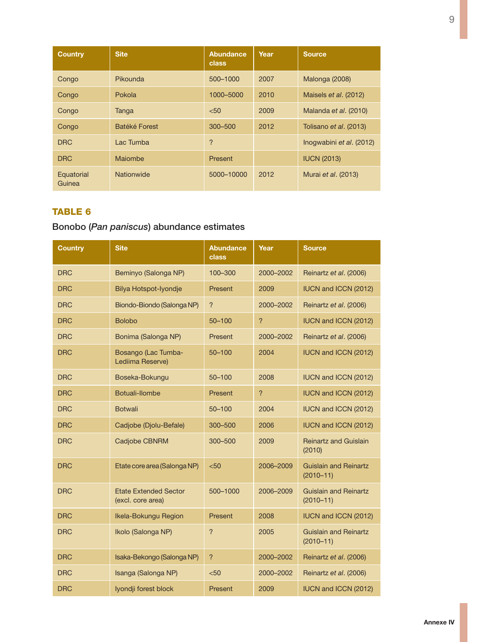| <b>Country</b>       | <b>Site</b>   | <b>Abundance</b><br><b>class</b> | Year | <b>Source</b>            |
|----------------------|---------------|----------------------------------|------|--------------------------|
| Congo                | Pikounda      | 500-1000                         | 2007 | Malonga (2008)           |
| Congo                | Pokola        | 1000-5000                        | 2010 | Maisels et al. (2012)    |
| Congo                | Tanga         | < 50                             | 2009 | Malanda et al. (2010)    |
| Congo                | Batéké Forest | 300-500                          | 2012 | Tolisano et al. (2013)   |
| <b>DRC</b>           | Lac Tumba     | $\overline{?}$                   |      | Inogwabini et al. (2012) |
| <b>DRC</b>           | Maiombe       | Present                          |      | <b>IUCN (2013)</b>       |
| Equatorial<br>Guinea | Nationwide    | 5000-10000                       | 2012 | Murai et al. (2013)      |

## Bonobo (*Pan paniscus*) abundance estimates

| <b>Country</b> | <b>Site</b>                                       | <b>Abundance</b><br>class | Year      | <b>Source</b>                                 |
|----------------|---------------------------------------------------|---------------------------|-----------|-----------------------------------------------|
| <b>DRC</b>     | Beminyo (Salonga NP)                              | 100-300                   | 2000-2002 | Reinartz et al. (2006)                        |
| <b>DRC</b>     | Bilya Hotspot-Iyondje                             | Present                   | 2009      | IUCN and ICCN (2012)                          |
| <b>DRC</b>     | Biondo-Biondo (Salonga NP)                        | ?                         | 2000-2002 | Reinartz et al. (2006)                        |
| <b>DRC</b>     | <b>Bolobo</b>                                     | $50 - 100$                | ?         | IUCN and ICCN (2012)                          |
| <b>DRC</b>     | Bonima (Salonga NP)                               | Present                   | 2000-2002 | Reinartz et al. (2006)                        |
| <b>DRC</b>     | Bosango (Lac Tumba-<br>Lediima Reserve)           | $50 - 100$                | 2004      | IUCN and ICCN (2012)                          |
| <b>DRC</b>     | Boseka-Bokungu                                    | $50 - 100$                | 2008      | IUCN and ICCN (2012)                          |
| <b>DRC</b>     | Botuali-llombe                                    | Present                   | ?         | IUCN and ICCN (2012)                          |
| <b>DRC</b>     | <b>Botwali</b>                                    | $50 - 100$                | 2004      | IUCN and ICCN (2012)                          |
| <b>DRC</b>     | Cadjobe (Djolu-Befale)                            | 300-500                   | 2006      | IUCN and ICCN (2012)                          |
| <b>DRC</b>     | Cadjobe CBNRM                                     | 300-500                   | 2009      | <b>Reinartz and Guislain</b><br>(2010)        |
| <b>DRC</b>     | Etate core area (Salonga NP)                      | < 50                      | 2006-2009 | Guislain and Reinartz<br>$(2010 - 11)$        |
| <b>DRC</b>     | <b>Etate Extended Sector</b><br>(excl. core area) | 500-1000                  | 2006-2009 | <b>Guislain and Reinartz</b><br>$(2010 - 11)$ |
| <b>DRC</b>     | Ikela-Bokungu Region                              | Present                   | 2008      | IUCN and ICCN (2012)                          |
| <b>DRC</b>     | Ikolo (Salonga NP)                                | ?                         | 2005      | <b>Guislain and Reinartz</b><br>$(2010 - 11)$ |
| <b>DRC</b>     | Isaka-Bekongo (Salonga NP)                        | $\overline{?}$            | 2000-2002 | Reinartz et al. (2006)                        |
| <b>DRC</b>     | Isanga (Salonga NP)                               | < 50                      | 2000-2002 | Reinartz et al. (2006)                        |
| <b>DRC</b>     | Iyondji forest block                              | Present                   | 2009      | IUCN and ICCN (2012)                          |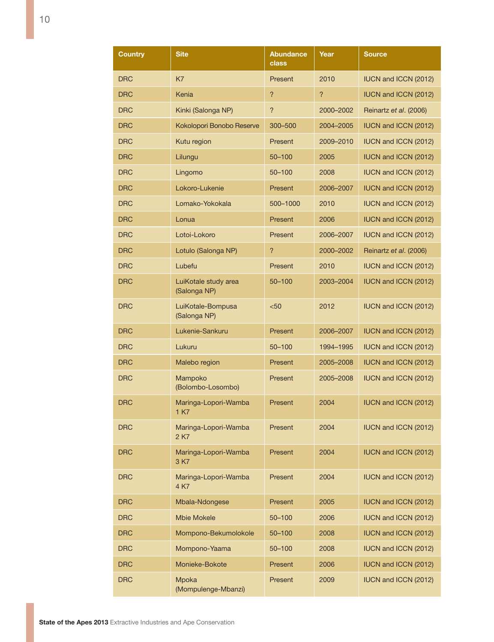| Country    | <b>Site</b>                          | <b>Abundance</b><br>class | Year      | <b>Source</b>               |
|------------|--------------------------------------|---------------------------|-----------|-----------------------------|
| <b>DRC</b> | K7                                   | Present                   | 2010      | <b>IUCN and ICCN (2012)</b> |
| <b>DRC</b> | Kenia                                | $\overline{?}$            | ?         | <b>IUCN and ICCN (2012)</b> |
| <b>DRC</b> | Kinki (Salonga NP)                   | $\overline{\phantom{0}}$  | 2000-2002 | Reinartz et al. (2006)      |
| <b>DRC</b> | Kokolopori Bonobo Reserve            | 300-500                   | 2004-2005 | <b>IUCN and ICCN (2012)</b> |
| <b>DRC</b> | Kutu region                          | Present                   | 2009-2010 | <b>IUCN and ICCN (2012)</b> |
| <b>DRC</b> | Lilungu                              | $50 - 100$                | 2005      | IUCN and ICCN (2012)        |
| <b>DRC</b> | Lingomo                              | $50 - 100$                | 2008      | <b>IUCN and ICCN (2012)</b> |
| <b>DRC</b> | Lokoro-Lukenie                       | Present                   | 2006-2007 | <b>IUCN and ICCN (2012)</b> |
| <b>DRC</b> | Lomako-Yokokala                      | 500-1000                  | 2010      | <b>IUCN and ICCN (2012)</b> |
| <b>DRC</b> | Lonua                                | Present                   | 2006      | <b>IUCN and ICCN (2012)</b> |
| <b>DRC</b> | Lotoi-Lokoro                         | Present                   | 2006-2007 | <b>IUCN and ICCN (2012)</b> |
| <b>DRC</b> | Lotulo (Salonga NP)                  | $\overline{?}$            | 2000-2002 | Reinartz et al. (2006)      |
| <b>DRC</b> | Lubefu                               | Present                   | 2010      | <b>IUCN and ICCN (2012)</b> |
| <b>DRC</b> | LuiKotale study area<br>(Salonga NP) | 50-100                    | 2003-2004 | <b>IUCN and ICCN (2012)</b> |
| <b>DRC</b> | LuiKotale-Bompusa<br>(Salonga NP)    | < 50                      | 2012      | <b>IUCN and ICCN (2012)</b> |
| <b>DRC</b> | Lukenie-Sankuru                      | Present                   | 2006-2007 | <b>IUCN and ICCN (2012)</b> |
| <b>DRC</b> | Lukuru                               | 50-100                    | 1994-1995 | <b>IUCN and ICCN (2012)</b> |
| <b>DRC</b> | Malebo region                        | Present                   | 2005-2008 | <b>IUCN and ICCN (2012)</b> |
| <b>DRC</b> | Mampoko<br>(Bolombo-Losombo)         | Present                   | 2005-2008 | <b>IUCN and ICCN (2012)</b> |
| <b>DRC</b> | Maringa-Lopori-Wamba<br>1 K7         | Present                   | 2004      | <b>IUCN and ICCN (2012)</b> |
| DRC        | Maringa-Lopori-Wamba<br>2 K7         | Present                   | 2004      | IUCN and ICCN (2012)        |
| <b>DRC</b> | Maringa-Lopori-Wamba<br>3 K/         | Present                   | 2004      | <b>IUCN and ICCN (2012)</b> |
| <b>DRC</b> | Maringa-Lopori-Wamba<br>4 K7         | Present                   | 2004      | IUCN and ICCN (2012)        |
| <b>DRC</b> | Mbala-Ndongese                       | Present                   | 2005      | IUCN and ICCN (2012)        |
| <b>DRC</b> | <b>Mbie Mokele</b>                   | $50 - 100$                | 2006      | <b>IUCN and ICCN (2012)</b> |
| DRC        | Mompono-Bekumolokole                 | 50-100                    | 2008      | <b>IUCN and ICCN (2012)</b> |
| <b>DRC</b> | Mompono-Yaama                        | 50-100                    | 2008      | <b>IUCN and ICCN (2012)</b> |
| <b>DRC</b> | Monieke-Bokote                       | Present                   | 2006      | <b>IUCN and ICCN (2012)</b> |
| <b>DRC</b> | Mpoka<br>(Mompulenge-Mbanzi)         | Present                   | 2009      | <b>IUCN and ICCN (2012)</b> |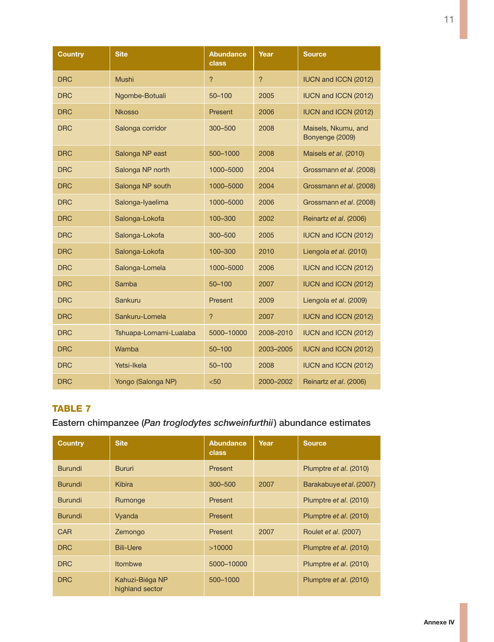| <b>Country</b> | <b>Site</b>            | <b>Abundance</b><br>class | Year           | <b>Source</b>                          |
|----------------|------------------------|---------------------------|----------------|----------------------------------------|
| <b>DRC</b>     | <b>Mushi</b>           | $\overline{?}$            | $\overline{?}$ | IUCN and ICCN (2012)                   |
| <b>DRC</b>     | Ngombe-Botuali         | $50 - 100$                | 2005           | IUCN and ICCN (2012)                   |
| <b>DRC</b>     | <b>Nkosso</b>          | Present                   | 2006           | IUCN and ICCN (2012)                   |
| <b>DRC</b>     | Salonga corridor       | 300-500                   | 2008           | Maisels, Nkumu, and<br>Bonyenge (2009) |
| <b>DRC</b>     | Salonga NP east        | 500-1000                  | 2008           | Maisels et al. (2010)                  |
| <b>DRC</b>     | Salonga NP north       | 1000-5000                 | 2004           | Grossmann et al. (2008)                |
| <b>DRC</b>     | Salonga NP south       | 1000-5000                 | 2004           | Grossmann et al. (2008)                |
| <b>DRC</b>     | Salonga-Iyaelima       | 1000-5000                 | 2006           | Grossmann et al. (2008)                |
| <b>DRC</b>     | Salonga-Lokofa         | 100-300                   | 2002           | Reinartz et al. (2006)                 |
| <b>DRC</b>     | Salonga-Lokofa         | 300-500                   | 2005           | IUCN and ICCN (2012)                   |
| <b>DRC</b>     | Salonga-Lokofa         | 100-300                   | 2010           | Liengola et al. (2010)                 |
| <b>DRC</b>     | Salonga-Lomela         | 1000-5000                 | 2006           | IUCN and ICCN (2012)                   |
| <b>DRC</b>     | Samba                  | $50 - 100$                | 2007           | IUCN and ICCN (2012)                   |
| <b>DRC</b>     | Sankuru                | Present                   | 2009           | Liengola et al. (2009)                 |
| <b>DRC</b>     | Sankuru-Lomela         | $\overline{?}$            | 2007           | IUCN and ICCN (2012)                   |
| <b>DRC</b>     | Tshuapa-Lomami-Lualaba | 5000-10000                | 2008-2010      | IUCN and ICCN (2012)                   |
| <b>DRC</b>     | Wamba                  | $50 - 100$                | 2003-2005      | IUCN and ICCN (2012)                   |
| <b>DRC</b>     | Yetsi-Ikela            | $50 - 100$                | 2008           | IUCN and ICCN (2012)                   |
| <b>DRC</b>     | Yongo (Salonga NP)     | $50$                      | 2000-2002      | Reinartz et al. (2006)                 |

## Eastern chimpanzee (*Pan troglodytes schweinfurthii*) abundance estimates

| <b>Country</b> | <b>Site</b>                        | <b>Abundance</b><br>class | Year | <b>Source</b>                 |
|----------------|------------------------------------|---------------------------|------|-------------------------------|
| <b>Burundi</b> | <b>Bururi</b>                      | Present                   |      | Plumptre <i>et al.</i> (2010) |
| <b>Burundi</b> | <b>Kibira</b>                      | 300-500                   | 2007 | Barakabuye et al. (2007)      |
| <b>Burundi</b> | Rumonge                            | Present                   |      | Plumptre et al. (2010)        |
| <b>Burundi</b> | Vyanda                             | Present                   |      | Plumptre et al. (2010)        |
| <b>CAR</b>     | Zemongo                            | Present                   | 2007 | Roulet et al. (2007)          |
| <b>DRC</b>     | <b>Bili-Uere</b>                   | >10000                    |      | Plumptre et al. (2010)        |
| <b>DRC</b>     | Itombwe                            | 5000-10000                |      | Plumptre et al. (2010)        |
| <b>DRC</b>     | Kahuzi-Biéga NP<br>highland sector | 500-1000                  |      | Plumptre et al. (2010)        |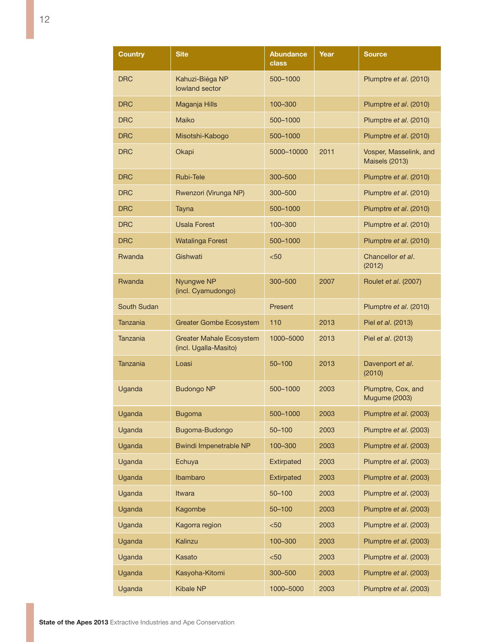| Country            | <b>Site</b>                                              | <b>Abundance</b><br>class | Year | <b>Source</b>                                   |
|--------------------|----------------------------------------------------------|---------------------------|------|-------------------------------------------------|
| <b>DRC</b>         | Kahuzi-Biéga NP<br>lowland sector                        | 500-1000                  |      | Plumptre et al. (2010)                          |
| <b>DRC</b>         | Maganja Hills                                            | 100-300                   |      | Plumptre et al. (2010)                          |
| DRC                | Maiko                                                    | 500-1000                  |      | Plumptre et al. (2010)                          |
| <b>DRC</b>         | Misotshi-Kabogo                                          | 500-1000                  |      | Plumptre et al. (2010)                          |
| <b>DRC</b>         | Okapi                                                    | 5000-10000                | 2011 | Vosper, Masselink, and<br><b>Maisels (2013)</b> |
| <b>DRC</b>         | Rubi-Tele                                                | 300-500                   |      | Plumptre et al. (2010)                          |
| <b>DRC</b>         | Rwenzori (Virunga NP)                                    | 300-500                   |      | Plumptre et al. (2010)                          |
| <b>DRC</b>         | Tayna                                                    | 500-1000                  |      | Plumptre et al. (2010)                          |
| <b>DRC</b>         | <b>Usala Forest</b>                                      | 100-300                   |      | Plumptre et al. (2010)                          |
| <b>DRC</b>         | <b>Watalinga Forest</b>                                  | 500-1000                  |      | Plumptre et al. (2010)                          |
| Rwanda             | Gishwati                                                 | $50$                      |      | Chancellor et al.<br>(2012)                     |
| Rwanda             | Nyungwe NP<br>(incl. Cyamudongo)                         | 300-500                   | 2007 | Roulet et al. (2007)                            |
| <b>South Sudan</b> |                                                          | Present                   |      | Plumptre et al. (2010)                          |
| Tanzania           | <b>Greater Gombe Ecosystem</b>                           | 110                       | 2013 | Piel et al. (2013)                              |
| Tanzania           | <b>Greater Mahale Ecosystem</b><br>(incl. Ugalla-Masito) | 1000-5000                 | 2013 | Piel et al. (2013)                              |
| Tanzania           | Loasi                                                    | 50-100                    | 2013 | Davenport et al.<br>(2010)                      |
| Uganda             | <b>Budongo NP</b>                                        | 500-1000                  | 2003 | Plumptre, Cox, and<br><b>Mugume (2003)</b>      |
| Uganda             | <b>Bugoma</b>                                            | 500-1000                  | 2003 | Plumptre et al. (2003)                          |
| Uganda             | Bugoma-Budongo                                           | 50-100                    | 2003 | Plumptre et al. (2003)                          |
| Uganda             | <b>Bwindi Impenetrable NP</b>                            | 100-300                   | 2003 | Plumptre et al. (2003)                          |
| Uganda             | Echuya                                                   | Extirpated                | 2003 | Plumptre et al. (2003)                          |
| Uganda             | Ibambaro                                                 | <b>Extirpated</b>         | 2003 | Plumptre et al. (2003)                          |
| Uganda             | Itwara                                                   | $50 - 100$                | 2003 | Plumptre et al. (2003)                          |
| Uganda             | Kagombe                                                  | $50 - 100$                | 2003 | Plumptre et al. (2003)                          |
| Uganda             | Kagorra region                                           | < 50                      | 2003 | Plumptre et al. (2003)                          |
| Uganda             | Kalinzu                                                  | 100-300                   | 2003 | Plumptre et al. (2003)                          |
| Uganda             | Kasato                                                   | < 50                      | 2003 | Plumptre et al. (2003)                          |
| Uganda             | Kasyoha-Kitomi                                           | 300-500                   | 2003 | Plumptre et al. (2003)                          |
| Uganda             | <b>Kibale NP</b>                                         | 1000-5000                 | 2003 | Plumptre et al. (2003)                          |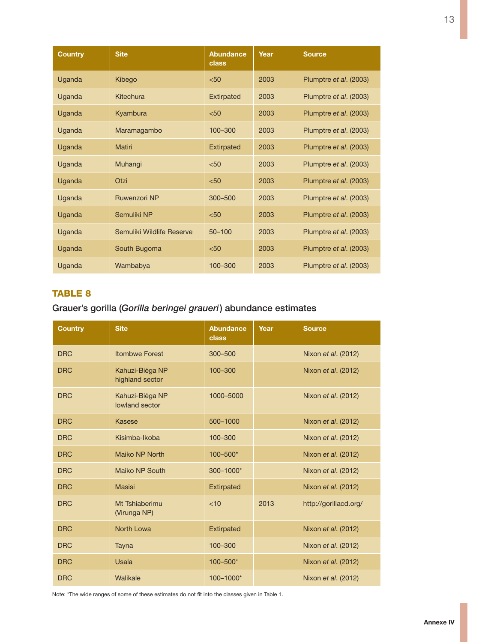| <b>Country</b> | <b>Site</b>               | <b>Abundance</b><br>class | Year | <b>Source</b>          |
|----------------|---------------------------|---------------------------|------|------------------------|
| Uganda         | Kibego                    | < 50                      | 2003 | Plumptre et al. (2003) |
| Uganda         | Kitechura                 | <b>Extirpated</b>         | 2003 | Plumptre et al. (2003) |
| Uganda         | Kyambura                  | < 50                      | 2003 | Plumptre et al. (2003) |
| Uganda         | Maramagambo               | 100-300                   | 2003 | Plumptre et al. (2003) |
| Uganda         | <b>Matiri</b>             | <b>Extirpated</b>         | 2003 | Plumptre et al. (2003) |
| Uganda         | Muhangi                   | < 50                      | 2003 | Plumptre et al. (2003) |
| Uganda         | Otzi                      | $50$                      | 2003 | Plumptre et al. (2003) |
| Uganda         | <b>Ruwenzori NP</b>       | 300-500                   | 2003 | Plumptre et al. (2003) |
| Uganda         | Semuliki NP               | < 50                      | 2003 | Plumptre et al. (2003) |
| Uganda         | Semuliki Wildlife Reserve | $50 - 100$                | 2003 | Plumptre et al. (2003) |
| Uganda         | South Bugoma              | < 50                      | 2003 | Plumptre et al. (2003) |
| Uganda         | Wambabya                  | 100-300                   | 2003 | Plumptre et al. (2003) |

Grauer's gorilla (*Gorilla beringei graueri*) abundance estimates

| <b>Country</b> | <b>Site</b>                        | Abundance<br><b>class</b> | Year | <b>Source</b>         |
|----------------|------------------------------------|---------------------------|------|-----------------------|
| <b>DRC</b>     | <b>Itombwe Forest</b>              | 300-500                   |      | Nixon et al. (2012)   |
| <b>DRC</b>     | Kahuzi-Biéga NP<br>highland sector | 100-300                   |      | Nixon et al. (2012)   |
| <b>DRC</b>     | Kahuzi-Biéga NP<br>lowland sector  | 1000-5000                 |      | Nixon et al. (2012)   |
| <b>DRC</b>     | Kasese                             | 500-1000                  |      | Nixon et al. (2012)   |
| <b>DRC</b>     | Kisimba-Ikoba                      | 100-300                   |      | Nixon et al. (2012)   |
| <b>DRC</b>     | Maiko NP North                     | 100-500*                  |      | Nixon et al. (2012)   |
| <b>DRC</b>     | Maiko NP South                     | 300-1000*                 |      | Nixon et al. (2012)   |
| <b>DRC</b>     | <b>Masisi</b>                      | <b>Extirpated</b>         |      | Nixon et al. (2012)   |
| <b>DRC</b>     | Mt Tshiaberimu<br>(Virunga NP)     | <10                       | 2013 | http://gorillacd.org/ |
| <b>DRC</b>     | North Lowa                         | <b>Extirpated</b>         |      | Nixon et al. (2012)   |
| <b>DRC</b>     | Tayna                              | 100-300                   |      | Nixon et al. (2012)   |
| <b>DRC</b>     | <b>Usala</b>                       | 100-500*                  |      | Nixon et al. (2012)   |
| <b>DRC</b>     | Walikale                           | 100-1000*                 |      | Nixon et al. (2012)   |

Note: \*The wide ranges of some of these estimates do not fit into the classes given in Table 1.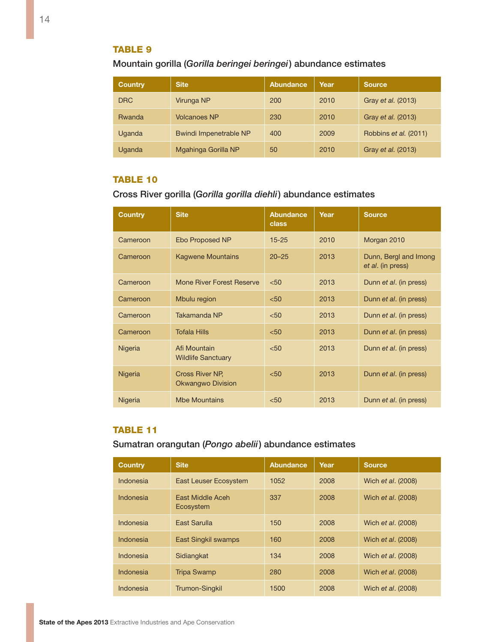Mountain gorilla (*Gorilla beringei beringei*) abundance estimates

| <b>Country</b> | <b>Site</b>                   | Abundance | Year | Source                |
|----------------|-------------------------------|-----------|------|-----------------------|
| <b>DRC</b>     | Virunga NP                    | 200       | 2010 | Gray et al. (2013)    |
| <b>Rwanda</b>  | <b>Volcanoes NP</b>           | 230       | 2010 | Gray et al. (2013)    |
| Uganda         | <b>Bwindi Impenetrable NP</b> | 400       | 2009 | Robbins et al. (2011) |
| Uganda         | Mgahinga Gorilla NP           | 50        | 2010 | Gray et al. (2013)    |

#### **TABLE 10**

Cross River gorilla (*Gorilla gorilla diehli*) abundance estimates

| <b>Country</b> | <b>Site</b>                               | <b>Abundance</b><br>class | Year | <b>Source</b>                              |
|----------------|-------------------------------------------|---------------------------|------|--------------------------------------------|
| Cameroon       | Ebo Proposed NP                           | $15 - 25$                 | 2010 | Morgan 2010                                |
| Cameroon       | <b>Kagwene Mountains</b>                  | $20 - 25$                 | 2013 | Dunn, Bergl and Imong<br>et al. (in press) |
| Cameroon       | Mone River Forest Reserve                 | < 50                      | 2013 | Dunn et al. (in press)                     |
| Cameroon       | Mbulu region                              | < 50                      | 2013 | Dunn et al. (in press)                     |
| Cameroon       | Takamanda NP                              | < 50                      | 2013 | Dunn et al. (in press)                     |
| Cameroon       | <b>Tofala Hills</b>                       | < 50                      | 2013 | Dunn et al. (in press)                     |
| <b>Nigeria</b> | Afi Mountain<br><b>Wildlife Sanctuary</b> | < 50                      | 2013 | Dunn et al. (in press)                     |
| <b>Nigeria</b> | Cross River NP.<br>Okwangwo Division      | < 50                      | 2013 | Dunn et al. (in press)                     |
| Nigeria        | <b>Mbe Mountains</b>                      | < 50                      | 2013 | Dunn et al. (in press)                     |

#### Table 11

Sumatran orangutan (*Pongo abelii*) abundance estimates

| <b>Country</b> | <b>Site</b>                   | <b>Abundance</b> | Year | <b>Source</b>             |
|----------------|-------------------------------|------------------|------|---------------------------|
| Indonesia      | <b>East Leuser Ecosystem</b>  | 1052             | 2008 | Wich <i>et al.</i> (2008) |
| Indonesia      | East Middle Aceh<br>Ecosystem | 337              | 2008 | Wich et al. (2008)        |
| Indonesia      | East Sarulla                  | 150              | 2008 | Wich et al. (2008)        |
| Indonesia      | <b>East Singkil swamps</b>    | 160              | 2008 | Wich <i>et al.</i> (2008) |
| Indonesia      | Sidiangkat                    | 134              | 2008 | Wich <i>et al.</i> (2008) |
| Indonesia      | <b>Tripa Swamp</b>            | 280              | 2008 | Wich <i>et al.</i> (2008) |
| Indonesia      | <b>Trumon-Singkil</b>         | 1500             | 2008 | Wich et al. (2008)        |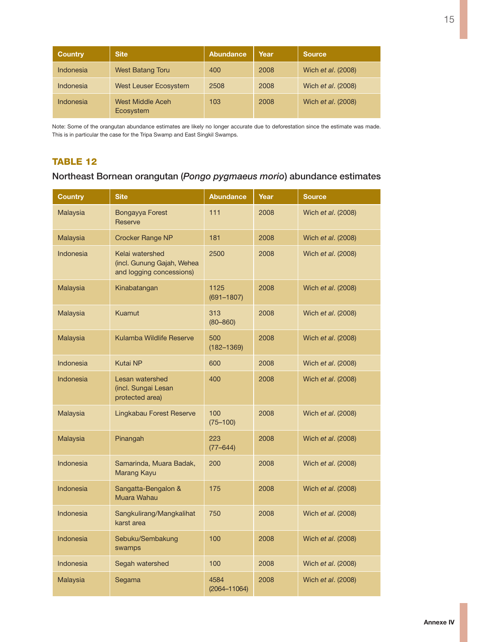| <b>Country</b> | <b>Site</b>                   | Abundance | Year | <b>Source</b>      |
|----------------|-------------------------------|-----------|------|--------------------|
| Indonesia      | <b>West Batang Toru</b>       | 400       | 2008 | Wich et al. (2008) |
| Indonesia      | <b>West Leuser Ecosystem</b>  | 2508      | 2008 | Wich et al. (2008) |
| Indonesia      | West Middle Aceh<br>Ecosystem | 103       | 2008 | Wich et al. (2008) |

Note: Some of the orangutan abundance estimates are likely no longer accurate due to deforestation since the estimate was made. This is in particular the case for the Tripa Swamp and East Singkil Swamps.

#### TABLE 12

### Northeast Bornean orangutan (*Pongo pygmaeus morio*) abundance estimates

| <b>Country</b>   | <b>Site</b>                                                               | <b>Abundance</b>         | Year | <b>Source</b>      |
|------------------|---------------------------------------------------------------------------|--------------------------|------|--------------------|
| Malaysia         | Bongayya Forest<br>Reserve                                                | 111                      | 2008 | Wich et al. (2008) |
| Malaysia         | <b>Crocker Range NP</b>                                                   | 181                      | 2008 | Wich et al. (2008) |
| Indonesia        | Kelai watershed<br>(incl. Gunung Gajah, Wehea<br>and logging concessions) | 2500                     | 2008 | Wich et al. (2008) |
| Malaysia         | Kinabatangan                                                              | 1125<br>$(691 - 1807)$   | 2008 | Wich et al. (2008) |
| Malaysia         | Kuamut                                                                    | 313<br>$(80 - 860)$      | 2008 | Wich et al. (2008) |
| Malaysia         | Kulamba Wildlife Reserve                                                  | 500<br>$(182 - 1369)$    | 2008 | Wich et al. (2008) |
| Indonesia        | <b>Kutai NP</b>                                                           | 600                      | 2008 | Wich et al. (2008) |
| Indonesia        | Lesan watershed<br>(incl. Sungai Lesan<br>protected area)                 | 400                      | 2008 | Wich et al. (2008) |
| Malaysia         | Lingkabau Forest Reserve                                                  | 100<br>$(75 - 100)$      | 2008 | Wich et al. (2008) |
| Malaysia         | Pinangah                                                                  | 223<br>$(77 - 644)$      | 2008 | Wich et al. (2008) |
| Indonesia        | Samarinda, Muara Badak,<br><b>Marang Kayu</b>                             | 200                      | 2008 | Wich et al. (2008) |
| Indonesia        | Sangatta-Bengalon &<br>Muara Wahau                                        | 175                      | 2008 | Wich et al. (2008) |
| Indonesia        | Sangkulirang/Mangkalihat<br>karst area                                    | 750                      | 2008 | Wich et al. (2008) |
| Indonesia        | Sebuku/Sembakung<br>swamps                                                | 100                      | 2008 | Wich et al. (2008) |
| <b>Indonesia</b> | Segah watershed                                                           | 100                      | 2008 | Wich et al. (2008) |
| Malaysia         | Segama                                                                    | 4584<br>$(2064 - 11064)$ | 2008 | Wich et al. (2008) |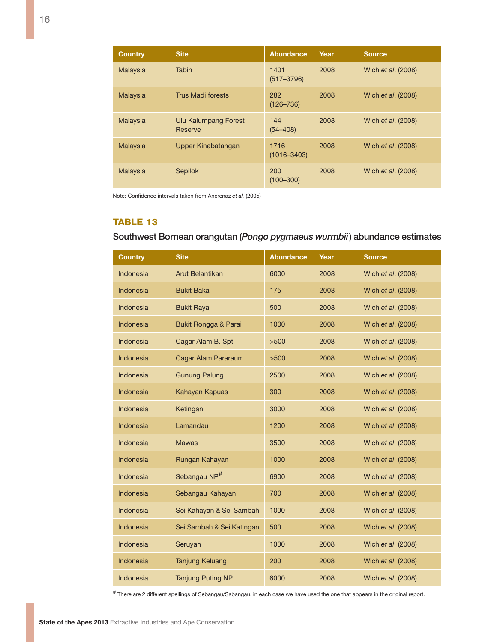| <b>Country</b> | <b>Site</b>                     | <b>Abundance</b>        | Year | <b>Source</b>             |
|----------------|---------------------------------|-------------------------|------|---------------------------|
| Malaysia       | Tabin                           | 1401<br>$(517 - 3796)$  | 2008 | Wich et al. (2008)        |
| Malaysia       | <b>Trus Madi forests</b>        | 282<br>$(126 - 736)$    | 2008 | Wich et al. (2008)        |
| Malaysia       | Ulu Kalumpang Forest<br>Reserve | 144<br>$(54 - 408)$     | 2008 | Wich <i>et al.</i> (2008) |
| Malaysia       | Upper Kinabatangan              | 1716<br>$(1016 - 3403)$ | 2008 | Wich <i>et al.</i> (2008) |
| Malaysia       | <b>Sepilok</b>                  | 200<br>$(100 - 300)$    | 2008 | Wich et al. (2008)        |

Note: Confidence intervals taken from Ancrenaz *et al.* (2005)

#### Table 13

### Southwest Bornean orangutan (*Pongo pygmaeus wurmbii*) abundance estimates

| <b>Country</b>   | <b>Site</b>               | <b>Abundance</b> | Year | <b>Source</b>      |
|------------------|---------------------------|------------------|------|--------------------|
| Indonesia        | <b>Arut Belantikan</b>    | 6000             | 2008 | Wich et al. (2008) |
| <b>Indonesia</b> | <b>Bukit Baka</b>         | 175              | 2008 | Wich et al. (2008) |
| Indonesia        | <b>Bukit Raya</b>         | 500              | 2008 | Wich et al. (2008) |
| <b>Indonesia</b> | Bukit Rongga & Parai      | 1000             | 2008 | Wich et al. (2008) |
| Indonesia        | Cagar Alam B. Spt         | >500             | 2008 | Wich et al. (2008) |
| Indonesia        | Cagar Alam Pararaum       | >500             | 2008 | Wich et al. (2008) |
| Indonesia        | <b>Gunung Palung</b>      | 2500             | 2008 | Wich et al. (2008) |
| Indonesia        | Kahayan Kapuas            | 300              | 2008 | Wich et al. (2008) |
| <b>Indonesia</b> | Ketingan                  | 3000             | 2008 | Wich et al. (2008) |
| Indonesia        | Lamandau                  | 1200             | 2008 | Wich et al. (2008) |
| Indonesia        | <b>Mawas</b>              | 3500             | 2008 | Wich et al. (2008) |
| Indonesia        | Rungan Kahayan            | 1000             | 2008 | Wich et al. (2008) |
| <b>Indonesia</b> | Sebangau NP <sup>#</sup>  | 6900             | 2008 | Wich et al. (2008) |
| <b>Indonesia</b> | Sebangau Kahayan          | 700              | 2008 | Wich et al. (2008) |
| Indonesia        | Sei Kahayan & Sei Sambah  | 1000             | 2008 | Wich et al. (2008) |
| Indonesia        | Sei Sambah & Sei Katingan | 500              | 2008 | Wich et al. (2008) |
| Indonesia        | Seruyan                   | 1000             | 2008 | Wich et al. (2008) |
| <b>Indonesia</b> | <b>Tanjung Keluang</b>    | 200              | 2008 | Wich et al. (2008) |
| Indonesia        | <b>Tanjung Puting NP</b>  | 6000             | 2008 | Wich et al. (2008) |

# There are 2 different spellings of Sebangau/Sabangau, in each case we have used the one that appears in the original report.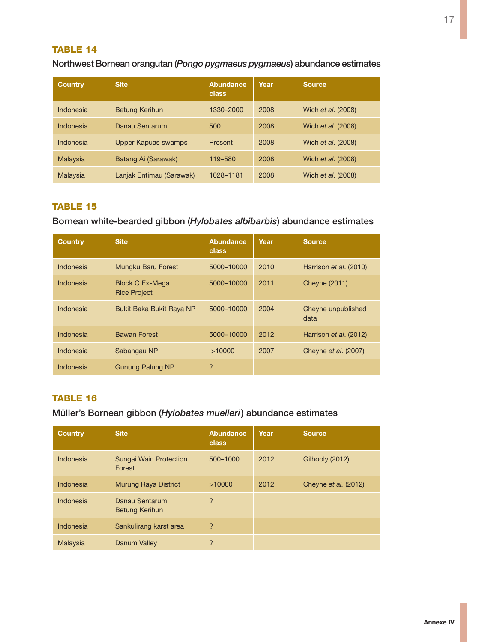### Northwest Bornean orangutan (*Pongo pygmaeus pygmaeus*) abundance estimates

| <b>Country</b> | <b>Site</b>              | Abundance<br>class | Year | <b>Source</b>             |
|----------------|--------------------------|--------------------|------|---------------------------|
| Indonesia      | <b>Betung Kerihun</b>    | 1330-2000          | 2008 | Wich et al. (2008)        |
| Indonesia      | Danau Sentarum           | 500                | 2008 | Wich et al. (2008)        |
| Indonesia      | Upper Kapuas swamps      | Present            | 2008 | Wich et al. (2008)        |
| Malaysia       | Batang Ai (Sarawak)      | 119-580            | 2008 | Wich et al. (2008)        |
| Malaysia       | Lanjak Entimau (Sarawak) | 1028-1181          | 2008 | Wich <i>et al.</i> (2008) |

#### Table 15

#### Bornean white-bearded gibbon (*Hylobates albibarbis*) abundance estimates

| <b>Country</b> | <b>Site</b>                                   | Abundance<br>class | Year | <b>Source</b>              |
|----------------|-----------------------------------------------|--------------------|------|----------------------------|
| Indonesia      | Mungku Baru Forest                            | 5000-10000         | 2010 | Harrison et al. (2010)     |
| Indonesia      | <b>Block C Ex-Mega</b><br><b>Rice Project</b> | 5000-10000         | 2011 | <b>Cheyne (2011)</b>       |
| Indonesia      | Bukit Baka Bukit Raya NP                      | 5000-10000         | 2004 | Cheyne unpublished<br>data |
| Indonesia      | <b>Bawan Forest</b>                           | 5000-10000         | 2012 | Harrison et al. (2012)     |
| Indonesia      | Sabangau NP                                   | >10000             | 2007 | Cheyne et al. (2007)       |
| Indonesia      | <b>Gunung Palung NP</b>                       | $\overline{?}$     |      |                            |

## TABLE 16

### Müller's Bornean gibbon (*Hylobates muelleri*) abundance estimates

| <b>Country</b> | <b>Site</b>                              | Abundance<br>class | Year | <b>Source</b>        |
|----------------|------------------------------------------|--------------------|------|----------------------|
| Indonesia      | Sungai Wain Protection<br>Forest         | 500-1000           | 2012 | Gilhooly (2012)      |
| Indonesia      | <b>Murung Raya District</b>              | >10000             | 2012 | Cheyne et al. (2012) |
| Indonesia      | Danau Sentarum,<br><b>Betung Kerihun</b> | ?                  |      |                      |
| Indonesia      | Sankulirang karst area                   | ?                  |      |                      |
| Malaysia       | Danum Valley                             | ?                  |      |                      |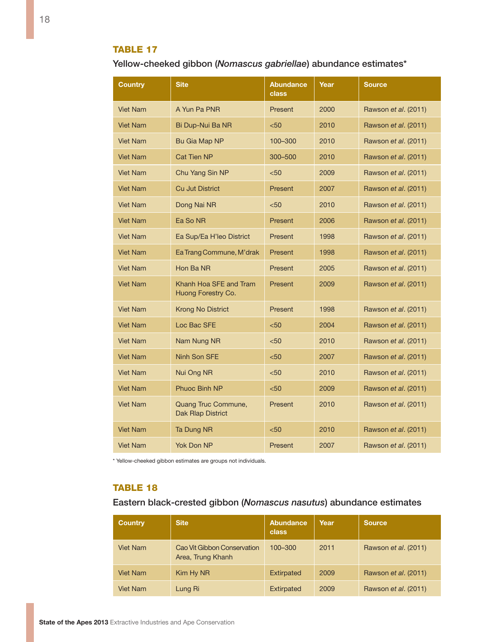Yellow-cheeked gibbon (*Nomascus gabriellae*) abundance estimates\*

| Country         | <b>Site</b>                                     | <b>Abundance</b><br>class | Year | <b>Source</b>               |
|-----------------|-------------------------------------------------|---------------------------|------|-----------------------------|
| Viet Nam        | A Yun Pa PNR                                    | Present                   | 2000 | Rawson et al. (2011)        |
| <b>Viet Nam</b> | Bi Dup-Nui Ba NR                                | $50$                      | 2010 | Rawson <i>et al.</i> (2011) |
| <b>Viet Nam</b> | Bu Gia Map NP                                   | 100-300                   | 2010 | Rawson et al. (2011)        |
| <b>Viet Nam</b> | <b>Cat Tien NP</b>                              | 300-500                   | 2010 | Rawson <i>et al.</i> (2011) |
| Viet Nam        | Chu Yang Sin NP                                 | $50$                      | 2009 | Rawson et al. (2011)        |
| <b>Viet Nam</b> | <b>Cu Jut District</b>                          | Present                   | 2007 | Rawson et al. (2011)        |
| Viet Nam        | Dong Nai NR                                     | $50$                      | 2010 | Rawson et al. (2011)        |
| <b>Viet Nam</b> | Ea So NR                                        | <b>Present</b>            | 2006 | Rawson et al. (2011)        |
| Viet Nam        | Ea Sup/Ea H'leo District                        | Present                   | 1998 | Rawson <i>et al.</i> (2011) |
| <b>Viet Nam</b> | Ea Trang Commune, M'drak                        | <b>Present</b>            | 1998 | Rawson et al. (2011)        |
| Viet Nam        | Hon Ba NR                                       | Present                   | 2005 | Rawson <i>et al.</i> (2011) |
| <b>Viet Nam</b> | Khanh Hoa SFE and Tram<br>Huong Forestry Co.    | <b>Present</b>            | 2009 | Rawson et al. (2011)        |
| Viet Nam        | <b>Krong No District</b>                        | <b>Present</b>            | 1998 | Rawson et al. (2011)        |
| <b>Viet Nam</b> | Loc Bac SFE                                     | < 50                      | 2004 | Rawson et al. (2011)        |
| <b>Viet Nam</b> | Nam Nung NR                                     | < 50                      | 2010 | Rawson et al. (2011)        |
| <b>Viet Nam</b> | Ninh Son SFE                                    | < 50                      | 2007 | Rawson <i>et al.</i> (2011) |
| <b>Viet Nam</b> | Nui Ong NR                                      | < 50                      | 2010 | Rawson et al. (2011)        |
| <b>Viet Nam</b> | Phuoc Binh NP                                   | < 50                      | 2009 | Rawson <i>et al.</i> (2011) |
| Viet Nam        | Quang Truc Commune,<br><b>Dak Rlap District</b> | Present                   | 2010 | Rawson et al. (2011)        |
| <b>Viet Nam</b> | Ta Dung NR                                      | $50$                      | 2010 | Rawson et al. (2011)        |
| <b>Viet Nam</b> | Yok Don NP                                      | Present                   | 2007 | Rawson et al. (2011)        |

\* Yellow-cheeked gibbon estimates are groups not individuals.

#### **TABLE 18**

### Eastern black-crested gibbon (*Nomascus nasutus*) abundance estimates

| <b>Country</b>  | <b>Site</b>                                      | Abundance<br>class | Year | Source               |
|-----------------|--------------------------------------------------|--------------------|------|----------------------|
| <b>Viet Nam</b> | Cao Vit Gibbon Conservation<br>Area, Trung Khanh | 100-300            | 2011 | Rawson et al. (2011) |
| <b>Viet Nam</b> | Kim Hy NR                                        | <b>Extirpated</b>  | 2009 | Rawson et al. (2011) |
| <b>Viet Nam</b> | Lung Ri                                          | <b>Extirpated</b>  | 2009 | Rawson et al. (2011) |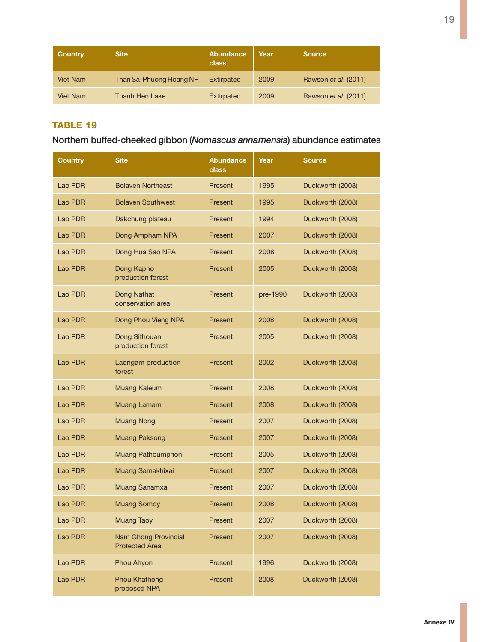| <b>Country</b>  | <b>Site</b>             | Abundance<br>class | Year | <b>Source</b>        |
|-----------------|-------------------------|--------------------|------|----------------------|
| <b>Viet Nam</b> | Than Sa-Phuong Hoang NR | Extirpated         | 2009 | Rawson et al. (2011) |
| Viet Nam        | Thanh Hen Lake          | Extirpated         | 2009 | Rawson et al. (2011) |

## Northern buffed-cheeked gibbon (*Nomascus annamensis*) abundance estimates

| <b>Country</b> | <b>Site</b>                                   | <b>Abundance</b><br>class | Year     | <b>Source</b>    |
|----------------|-----------------------------------------------|---------------------------|----------|------------------|
| Lao PDR        | <b>Bolaven Northeast</b>                      | Present                   | 1995     | Duckworth (2008) |
| Lao PDR        | <b>Bolaven Southwest</b>                      | Present                   | 1995     | Duckworth (2008) |
| Lao PDR        | Dakchung plateau                              | Present                   | 1994     | Duckworth (2008) |
| Lao PDR        | Dong Ampham NPA                               | Present                   | 2007     | Duckworth (2008) |
| Lao PDR        | Dong Hua Sao NPA                              | Present                   | 2008     | Duckworth (2008) |
| Lao PDR        | Dong Kapho<br>production forest               | Present                   | 2005     | Duckworth (2008) |
| Lao PDR        | Dong Nathat<br>conservation area              | Present                   | pre-1990 | Duckworth (2008) |
| Lao PDR        | Dong Phou Vieng NPA                           | Present                   | 2008     | Duckworth (2008) |
| Lao PDR        | Dong Sithouan<br>production forest            | Present                   | 2005     | Duckworth (2008) |
| Lao PDR        | Laongam production<br>forest                  | Present                   | 2002     | Duckworth (2008) |
| Lao PDR        | <b>Muang Kaleum</b>                           | Present                   | 2008     | Duckworth (2008) |
| Lao PDR        | Muang Lamam                                   | Present                   | 2008     | Duckworth (2008) |
| Lao PDR        | <b>Muang Nong</b>                             | Present                   | 2007     | Duckworth (2008) |
| Lao PDR        | <b>Muang Paksong</b>                          | Present                   | 2007     | Duckworth (2008) |
| Lao PDR        | <b>Muang Pathoumphon</b>                      | Present                   | 2005     | Duckworth (2008) |
| Lao PDR        | Muang Samakhixai                              | Present                   | 2007     | Duckworth (2008) |
| Lao PDR        | Muang Sanamxai                                | Present                   | 2007     | Duckworth (2008) |
| Lao PDR        | <b>Muang Somoy</b>                            | Present                   | 2008     | Duckworth (2008) |
| Lao PDR        | <b>Muang Taoy</b>                             | Present                   | 2007     | Duckworth (2008) |
| Lao PDR        | Nam Ghong Provincial<br><b>Protected Area</b> | Present                   | 2007     | Duckworth (2008) |
| Lao PDR        | Phou Ahyon                                    | Present                   | 1996     | Duckworth (2008) |
| Lao PDR        | <b>Phou Khathong</b><br>proposed NPA          | Present                   | 2008     | Duckworth (2008) |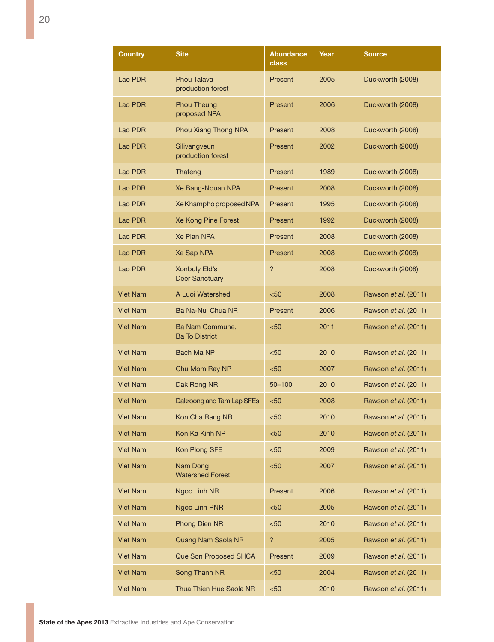| Country         | <b>Site</b>                                   | <b>Abundance</b><br>class | Year | <b>Source</b>               |
|-----------------|-----------------------------------------------|---------------------------|------|-----------------------------|
| Lao PDR         | <b>Phou Talava</b><br>production forest       | Present                   | 2005 | Duckworth (2008)            |
| Lao PDR         | <b>Phou Theung</b><br>proposed NPA            | Present                   | 2006 | Duckworth (2008)            |
| Lao PDR         | Phou Xiang Thong NPA                          | Present                   | 2008 | Duckworth (2008)            |
| Lao PDR         | Silivangveun<br>production forest             | Present                   | 2002 | Duckworth (2008)            |
| Lao PDR         | Thateng                                       | <b>Present</b>            | 1989 | Duckworth (2008)            |
| Lao PDR         | Xe Bang-Nouan NPA                             | Present                   | 2008 | Duckworth (2008)            |
| Lao PDR         | Xe Khampho proposed NPA                       | Present                   | 1995 | Duckworth (2008)            |
| Lao PDR         | Xe Kong Pine Forest                           | Present                   | 1992 | Duckworth (2008)            |
| Lao PDR         | <b>Xe Pian NPA</b>                            | Present                   | 2008 | Duckworth (2008)            |
| Lao PDR         | Xe Sap NPA                                    | Present                   | 2008 | Duckworth (2008)            |
| Lao PDR         | <b>Xonbuly Eld's</b><br><b>Deer Sanctuary</b> | $\overline{?}$            | 2008 | Duckworth (2008)            |
| <b>Viet Nam</b> | A Luoi Watershed                              | < 50                      | 2008 | Rawson et al. (2011)        |
| <b>Viet Nam</b> | Ba Na-Nui Chua NR                             | Present                   | 2006 | Rawson <i>et al.</i> (2011) |
| <b>Viet Nam</b> | Ba Nam Commune,<br><b>Ba To District</b>      | $50$                      | 2011 | Rawson et al. (2011)        |
| <b>Viet Nam</b> | Bach Ma NP                                    | $50$                      | 2010 | Rawson et al. (2011)        |
| <b>Viet Nam</b> | Chu Mom Ray NP                                | $50$                      | 2007 | Rawson et al. (2011)        |
| <b>Viet Nam</b> | Dak Rong NR                                   | 50-100                    | 2010 | Rawson <i>et al.</i> (2011) |
| <b>Viet Nam</b> | Dakroong and Tam Lap SFEs                     | $50$                      | 2008 | Rawson et al. (2011)        |
| <b>Viet Nam</b> | Kon Cha Rang NR                               | $50$                      | 2010 | Rawson et al. (2011)        |
| <b>Viet Nam</b> | Kon Ka Kinh NP                                | $50$                      | 2010 | Rawson et al. (2011)        |
| <b>Viet Nam</b> | Kon Plong SFE                                 | $50$                      | 2009 | Rawson et al. (2011)        |
| Viet Nam        | Nam Dong<br><b>Watershed Forest</b>           | $50$                      | 2007 | Rawson et al. (2011)        |
| <b>Viet Nam</b> | Ngoc Linh NR                                  | Present                   | 2006 | Rawson et al. (2011)        |
| <b>Viet Nam</b> | Ngoc Linh PNR                                 | < 50                      | 2005 | Rawson et al. (2011)        |
| <b>Viet Nam</b> | Phong Dien NR                                 | $50$                      | 2010 | Rawson et al. (2011)        |
| Viet Nam        | Quang Nam Saola NR                            | ?                         | 2005 | Rawson et al. (2011)        |
| <b>Viet Nam</b> | Que Son Proposed SHCA                         | Present                   | 2009 | Rawson <i>et al.</i> (2011) |
| <b>Viet Nam</b> | Song Thanh NR                                 | $50$                      | 2004 | Rawson et al. (2011)        |
| <b>Viet Nam</b> | Thua Thien Hue Saola NR                       | $50$                      | 2010 | Rawson et al. (2011)        |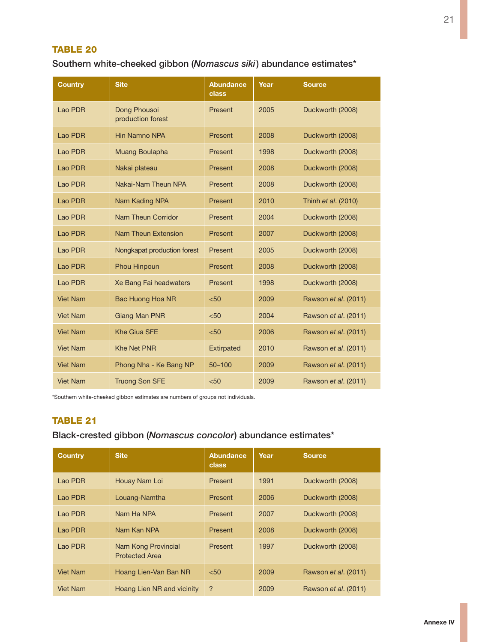### Southern white-cheeked gibbon (*Nomascus siki*) abundance estimates\*

| Country         | <b>Site</b>                       | <b>Abundance</b><br>class | Year | <b>Source</b>        |
|-----------------|-----------------------------------|---------------------------|------|----------------------|
| Lao PDR         | Dong Phousoi<br>production forest | Present                   | 2005 | Duckworth (2008)     |
| Lao PDR         | <b>Hin Namno NPA</b>              | Present                   | 2008 | Duckworth (2008)     |
| Lao PDR         | Muang Boulapha                    | Present                   | 1998 | Duckworth (2008)     |
| Lao PDR         | Nakai plateau                     | Present                   | 2008 | Duckworth (2008)     |
| Lao PDR         | Nakai-Nam Theun NPA               | Present                   | 2008 | Duckworth (2008)     |
| Lao PDR         | Nam Kading NPA                    | Present                   | 2010 | Thinh et al. (2010)  |
| Lao PDR         | Nam Theun Corridor                | Present                   | 2004 | Duckworth (2008)     |
| Lao PDR         | Nam Theun Extension               | Present                   | 2007 | Duckworth (2008)     |
| Lao PDR         | Nongkapat production forest       | Present                   | 2005 | Duckworth (2008)     |
| Lao PDR         | Phou Hinpoun                      | Present                   | 2008 | Duckworth (2008)     |
| Lao PDR         | Xe Bang Fai headwaters            | Present                   | 1998 | Duckworth (2008)     |
| <b>Viet Nam</b> | <b>Bac Huong Hoa NR</b>           | < 50                      | 2009 | Rawson et al. (2011) |
| <b>Viet Nam</b> | Giang Man PNR                     | < 50                      | 2004 | Rawson et al. (2011) |
| <b>Viet Nam</b> | <b>Khe Giua SFE</b>               | < 50                      | 2006 | Rawson et al. (2011) |
| <b>Viet Nam</b> | <b>Khe Net PNR</b>                | <b>Extirpated</b>         | 2010 | Rawson et al. (2011) |
| <b>Viet Nam</b> | Phong Nha - Ke Bang NP            | $50 - 100$                | 2009 | Rawson et al. (2011) |
| <b>Viet Nam</b> | <b>Truong Son SFE</b>             | < 50                      | 2009 | Rawson et al. (2011) |

\*Southern white-cheeked gibbon estimates are numbers of groups not individuals.

#### Table 21

### Black-crested gibbon (*Nomascus concolor*) abundance estimates\*

| <b>Country</b>  | <b>Site</b>                                  | <b>Abundance</b><br><b>class</b> | Year | <b>Source</b>               |
|-----------------|----------------------------------------------|----------------------------------|------|-----------------------------|
| Lao PDR         | Houay Nam Loi                                | Present                          | 1991 | Duckworth (2008)            |
| Lao PDR         | Louang-Namtha                                | Present                          | 2006 | Duckworth (2008)            |
| Lao PDR         | Nam Ha NPA                                   | Present                          | 2007 | Duckworth (2008)            |
| Lao PDR         | Nam Kan NPA                                  | Present                          | 2008 | Duckworth (2008)            |
| Lao PDR         | Nam Kong Provincial<br><b>Protected Area</b> | Present                          | 1997 | Duckworth (2008)            |
| <b>Viet Nam</b> | Hoang Lien-Van Ban NR                        | < 50                             | 2009 | Rawson <i>et al.</i> (2011) |
| <b>Viet Nam</b> | Hoang Lien NR and vicinity                   | ?                                | 2009 | Rawson et al. (2011)        |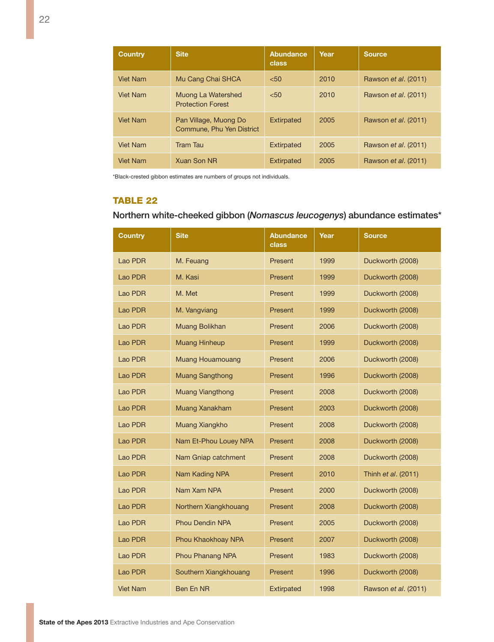| <b>Country</b>  | <b>Site</b>                                        | Abundance<br>class | Year | <b>Source</b>               |
|-----------------|----------------------------------------------------|--------------------|------|-----------------------------|
| <b>Viet Nam</b> | Mu Cang Chai SHCA                                  | < 50               | 2010 | Rawson <i>et al.</i> (2011) |
| <b>Viet Nam</b> | Muong La Watershed<br><b>Protection Forest</b>     | < 50               | 2010 | Rawson <i>et al.</i> (2011) |
| <b>Viet Nam</b> | Pan Village, Muong Do<br>Commune. Phu Yen District | Extirpated         | 2005 | Rawson <i>et al.</i> (2011) |
| <b>Viet Nam</b> | <b>Tram Tau</b>                                    | Extirpated         | 2005 | Rawson et al. (2011)        |
| <b>Viet Nam</b> | <b>Xuan Son NR</b>                                 | Extirpated         | 2005 | Rawson <i>et al.</i> (2011) |

\*Black-crested gibbon estimates are numbers of groups not individuals.

### Table 22

### Northern white-cheeked gibbon (*Nomascus leucogenys*) abundance estimates\*

| <b>Country</b> | <b>Site</b>             | <b>Abundance</b><br>class | Year | <b>Source</b>        |
|----------------|-------------------------|---------------------------|------|----------------------|
| Lao PDR        | M. Feuang               | Present                   | 1999 | Duckworth (2008)     |
| Lao PDR        | M. Kasi                 | Present                   | 1999 | Duckworth (2008)     |
| Lao PDR        | M. Met                  | Present                   | 1999 | Duckworth (2008)     |
| Lao PDR        | M. Vangviang            | Present                   | 1999 | Duckworth (2008)     |
| Lao PDR        | Muang Bolikhan          | Present                   | 2006 | Duckworth (2008)     |
| Lao PDR        | <b>Muang Hinheup</b>    | Present                   | 1999 | Duckworth (2008)     |
| Lao PDR        | <b>Muang Houamouang</b> | Present                   | 2006 | Duckworth (2008)     |
| Lao PDR        | <b>Muang Sangthong</b>  | Present                   | 1996 | Duckworth (2008)     |
| Lao PDR        | <b>Muang Viangthong</b> | Present                   | 2008 | Duckworth (2008)     |
| Lao PDR        | Muang Xanakham          | Present                   | 2003 | Duckworth (2008)     |
| Lao PDR        | Muang Xiangkho          | Present                   | 2008 | Duckworth (2008)     |
| Lao PDR        | Nam Et-Phou Louey NPA   | Present                   | 2008 | Duckworth (2008)     |
| Lao PDR        | Nam Gniap catchment     | Present                   | 2008 | Duckworth (2008)     |
| Lao PDR        | Nam Kading NPA          | Present                   | 2010 | Thinh et al. (2011)  |
| Lao PDR        | Nam Xam NPA             | Present                   | 2000 | Duckworth (2008)     |
| Lao PDR        | Northern Xiangkhouang   | Present                   | 2008 | Duckworth (2008)     |
| Lao PDR        | <b>Phou Dendin NPA</b>  | Present                   | 2005 | Duckworth (2008)     |
| Lao PDR        | Phou Khaokhoay NPA      | Present                   | 2007 | Duckworth (2008)     |
| Lao PDR        | Phou Phanang NPA        | Present                   | 1983 | Duckworth (2008)     |
| Lao PDR        | Southern Xiangkhouang   | Present                   | 1996 | Duckworth (2008)     |
| Viet Nam       | Ben En NR               | <b>Extirpated</b>         | 1998 | Rawson et al. (2011) |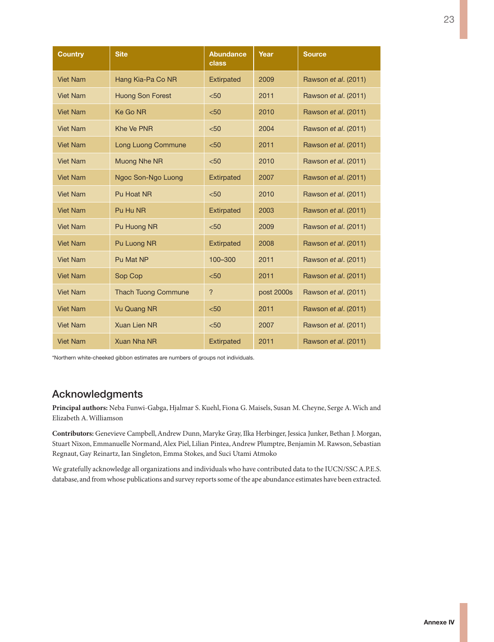| <b>Country</b>  | <b>Site</b>                | <b>Abundance</b><br>class | Year       | <b>Source</b>        |
|-----------------|----------------------------|---------------------------|------------|----------------------|
| <b>Viet Nam</b> | Hang Kia-Pa Co NR          | <b>Extirpated</b>         | 2009       | Rawson et al. (2011) |
| <b>Viet Nam</b> | <b>Huong Son Forest</b>    | < 50                      | 2011       | Rawson et al. (2011) |
| <b>Viet Nam</b> | <b>Ke Go NR</b>            | < 50                      | 2010       | Rawson et al. (2011) |
| <b>Viet Nam</b> | <b>Khe Ve PNR</b>          | < 50                      | 2004       | Rawson et al. (2011) |
| <b>Viet Nam</b> | Long Luong Commune         | < 50                      | 2011       | Rawson et al. (2011) |
| <b>Viet Nam</b> | <b>Muong Nhe NR</b>        | < 50                      | 2010       | Rawson et al. (2011) |
| <b>Viet Nam</b> | Ngoc Son-Ngo Luong         | Extirpated                | 2007       | Rawson et al. (2011) |
| <b>Viet Nam</b> | Pu Hoat NR                 | < 50                      | 2010       | Rawson et al. (2011) |
| <b>Viet Nam</b> | Pu Hu NR                   | <b>Extirpated</b>         | 2003       | Rawson et al. (2011) |
| <b>Viet Nam</b> | Pu Huong NR                | < 50                      | 2009       | Rawson et al. (2011) |
| <b>Viet Nam</b> | Pu Luong NR                | <b>Extirpated</b>         | 2008       | Rawson et al. (2011) |
| <b>Viet Nam</b> | Pu Mat NP                  | 100-300                   | 2011       | Rawson et al. (2011) |
| <b>Viet Nam</b> | Sop Cop                    | < 50                      | 2011       | Rawson et al. (2011) |
| <b>Viet Nam</b> | <b>Thach Tuong Commune</b> | $\overline{?}$            | post 2000s | Rawson et al. (2011) |
| <b>Viet Nam</b> | <b>Vu Quang NR</b>         | < 50                      | 2011       | Rawson et al. (2011) |
| <b>Viet Nam</b> | Xuan Lien NR               | < 50                      | 2007       | Rawson et al. (2011) |
| <b>Viet Nam</b> | Xuan Nha NR                | <b>Extirpated</b>         | 2011       | Rawson et al. (2011) |

\*Northern white-cheeked gibbon estimates are numbers of groups not individuals.

### Acknowledgments

**Principal authors:** Neba Funwi-Gabga, Hjalmar S. Kuehl, Fiona G. Maisels, Susan M. Cheyne, Serge A. Wich and Elizabeth A. Williamson

**Contributors:** Genevieve Campbell, Andrew Dunn, Maryke Gray, Ilka Herbinger, Jessica Junker, Bethan J. Morgan, Stuart Nixon, Emmanuelle Normand, Alex Piel, Lilian Pintea, Andrew Plumptre, Benjamin M. Rawson, Sebastian Regnaut, Gay Reinartz, Ian Singleton, Emma Stokes, and Suci Utami Atmoko

We gratefully acknowledge all organizations and individuals who have contributed data to the IUCN/SSC A.P.E.S. database, and from whose publications and survey reports some of the ape abundance estimates have been extracted.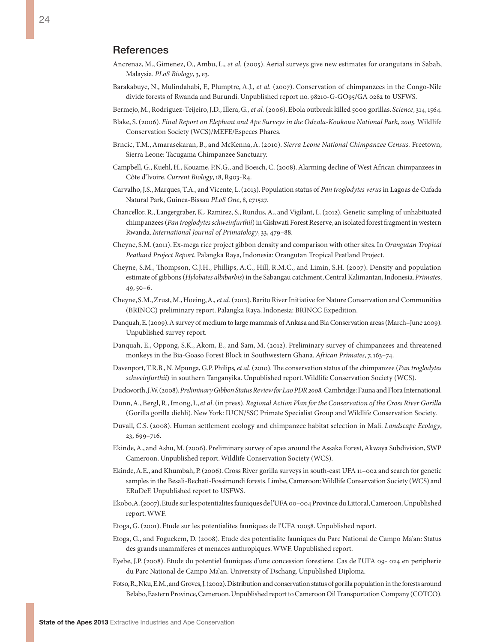#### **References**

- Ancrenaz, M., Gimenez, O., Ambu, L.*, et al.* (2005). Aerial surveys give new estimates for orangutans in Sabah, Malaysia. *PLoS Biology*, 3, e3.
- Barakabuye, N., Mulindahabi, F., Plumptre, A.J.*, et al.* (2007). Conservation of chimpanzees in the Congo-Nile divide forests of Rwanda and Burundi. Unpublished report no. 98210-G-GO95/GA 0282 to USFWS.
- Bermejo, M., Rodriguez-Teijeiro, J.D., Illera, G.*, et al.* (2006). Ebola outbreak killed 5000 gorillas. *Science*, 314, 1564.
- Blake, S. (2006). *Final Report on Elephant and Ape Surveys in the Odzala-Koukoua National Park, 2005.* Wildlife Conservation Society (WCS)/MEFE/Especes Phares.
- Brncic, T.M., Amarasekaran, B., and McKenna, A. (2010). *Sierra Leone National Chimpanzee Census.* Freetown, Sierra Leone: Tacugama Chimpanzee Sanctuary.
- Campbell, G., Kuehl, H., Kouame, P.N.G., and Boesch, C. (2008). Alarming decline of West African chimpanzees in Côte d'Ivoire. *Current Biology*, 18, R903-R4.
- Carvalho, J.S., Marques, T.A., and Vicente, L. (2013). Population status of *Pan troglodytes verus* in Lagoas de Cufada Natural Park, Guinea-Bissau *PLoS One*, 8, e71527.
- Chancellor, R., Langergraber, K., Ramirez, S., Rundus, A., and Vigilant, L. (2012). Genetic sampling of unhabituated chimpanzees (*Pan troglodytes schweinfurthii*) in Gishwati Forest Reserve, an isolated forest fragment in western Rwanda. *International Journal of Primatology*, 33, 479–88.
- Cheyne, S.M. (2011). Ex-mega rice project gibbon density and comparison with other sites. In *Orangutan Tropical Peatland Project Report*. Palangka Raya, Indonesia: Orangutan Tropical Peatland Project.
- Cheyne, S.M., Thompson, C.J.H., Phillips, A.C., Hill, R.M.C., and Limin, S.H. (2007). Density and population estimate of gibbons (*Hylobates albibarbis*) in the Sabangau catchment, Central Kalimantan, Indonesia. *Primates*, 49, 50–6.
- Cheyne, S.M., Zrust, M., Hoeing, A.*, et al.* (2012). Barito River Initiative for Nature Conservation and Communities (BRINCC) preliminary report. Palangka Raya, Indonesia: BRINCC Expedition.
- Danquah, E. (2009). A survey of medium to large mammals of Ankasa and Bia Conservation areas (March–June 2009). Unpublished survey report.
- Danquah, E., Oppong, S.K., Akom, E., and Sam, M. (2012). Preliminary survey of chimpanzees and threatened monkeys in the Bia-Goaso Forest Block in Southwestern Ghana. *African Primates*, 7, 163–74.
- Davenport, T.R.B., N. Mpunga, G.P. Philips*, et al.* (2010). The conservation status of the chimpanzee (*Pan troglodytes schweinfurthii*) in southern Tanganyika. Unpublished report. Wildlife Conservation Society (WCS).
- Duckworth, J.W. (2008). *Preliminary Gibbon Status Review for Lao PDR 2008.* Cambridge: Fauna and Flora International.
- Dunn, A., Bergl, R., Imong, I., *et al*. (in press). *Regional Action Plan for the Conservation of the Cross River Gorilla* (Gorilla gorilla diehli). New York: IUCN/SSC Primate Specialist Group and Wildlife Conservation Society.
- Duvall, C.S. (2008). Human settlement ecology and chimpanzee habitat selection in Mali. *Landscape Ecology*, 23, 699–716.
- Ekinde, A., and Ashu, M. (2006). Preliminary survey of apes around the Assaka Forest, Akwaya Subdivision, SWP Cameroon. Unpublished report. Wildlife Conservation Society (WCS).
- Ekinde, A.E., and Khumbah, P. (2006). Cross River gorilla surveys in south-east UFA 11–002 and search for genetic samples in the Besali-Bechati-Fossimondi forests. Limbe, Cameroon: Wildlife Conservation Society (WCS) and ERuDeF. Unpublished report to USFWS.
- Ekobo, A. (2007). Etude sur les potentialites fauniques de l'UFA 00–004 Province du Littoral, Cameroon. Unpublished report. WWF.
- Etoga, G. (2001). Etude sur les potentialites fauniques de l'UFA 10038. Unpublished report.
- Etoga, G., and Foguekem, D. (2008). Etude des potentialite fauniques du Parc National de Campo Ma'an: Status des grands mammiferes et menaces anthropiques. WWF. Unpublished report.
- Eyebe, J.P. (2008). Etude du potentiel fauniques d'une concession forestiere. Cas de l'UFA 09- 024 en peripherie du Parc National de Campo Ma'an. University of Dschang. Unpublished Diploma.
- Fotso, R., Nku, E.M., and Groves, J. (2002). Distribution and conservation status of gorilla population in the forests around Belabo, Eastern Province, Cameroon. Unpublished report to Cameroon Oil Transportation Company (COTCO).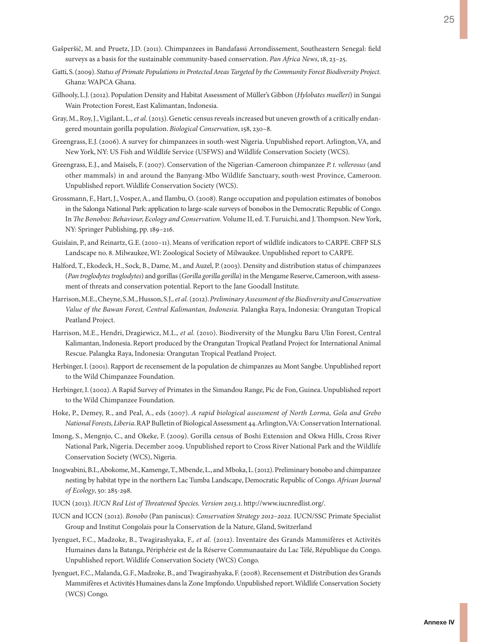- Gašperšič, M. and Pruetz, J.D. (2011). Chimpanzees in Bandafassi Arrondissement, Southeastern Senegal: field surveys as a basis for the sustainable community-based conservation. *Pan Africa News*, 18, 23–25.
- Gatti, S. (2009). *Status of Primate Populations in Protected Areas Targeted by the Community Forest Biodiversity Project.* Ghana: WAPCA Ghana.
- Gilhooly, L.J. (2012). Population Density and Habitat Assessment of Müller's Gibbon (*Hylobates muelleri*) in Sungai Wain Protection Forest, East Kalimantan, Indonesia.
- Gray, M., Roy, J., Vigilant, L.*, et al.* (2013). Genetic census reveals increased but uneven growth of a critically endangered mountain gorilla population. *Biological Conservation*, 158, 230–8.
- Greengrass, E.J. (2006). A survey for chimpanzees in south-west Nigeria. Unpublished report. Arlington, VA, and New York, NY: US Fish and Wildlife Service (USFWS) and Wildlife Conservation Society (WCS).
- Greengrass, E.J., and Maisels, F. (2007). Conservation of the Nigerian-Cameroon chimpanzee *P. t. vellerosus* (and other mammals) in and around the Banyang-Mbo Wildlife Sanctuary, south-west Province, Cameroon. Unpublished report. Wildlife Conservation Society (WCS).
- Grossmann, F., Hart, J., Vosper, A., and Ilambu, O. (2008). Range occupation and population estimates of bonobos in the Salonga National Park: application to large-scale surveys of bonobos in the Democratic Republic of Congo. In *The Bonobos: Behaviour, Ecology and Conservation.* Volume II, ed. T. Furuichi, and J. Thompson. New York, NY: Springer Publishing, pp. 189–216.
- Guislain, P., and Reinartz, G.E. (2010–11). Means of verification report of wildlife indicators to CARPE. CBFP SLS Landscape no. 8. Milwaukee, WI: Zoological Society of Milwaukee. Unpublished report to CARPE.
- Halford, T., Ekodeck, H., Sock, B., Dame, M., and Auzel, P. (2003). Density and distribution status of chimpanzees (*Pan troglodytes troglodytes*) and gorillas (*Gorilla gorilla gorilla*) in the Mengame Reserve, Cameroon, with assessment of threats and conservation potential. Report to the Jane Goodall Institute.
- Harrison, M.E., Cheyne, S.M., Husson, S.J.*, et al.* (2012). *Preliminary Assessment of the Biodiversity and Conservation Value of the Bawan Forest, Central Kalimantan, Indonesia.* Palangka Raya, Indonesia: Orangutan Tropical Peatland Project.
- Harrison, M.E., Hendri, Dragiewicz, M.L.*, et al.* (2010). Biodiversity of the Mungku Baru Ulin Forest, Central Kalimantan, Indonesia. Report produced by the Orangutan Tropical Peatland Project for International Animal Rescue. Palangka Raya, Indonesia: Orangutan Tropical Peatland Project.
- Herbinger, I. (2001). Rapport de recensement de la population de chimpanzes au Mont Sangbe. Unpublished report to the Wild Chimpanzee Foundation.
- Herbinger, I. (2002). A Rapid Survey of Primates in the Simandou Range, Pic de Fon, Guinea. Unpublished report to the Wild Chimpanzee Foundation.
- Hoke, P., Demey, R., and Peal, A., eds (2007). *A rapid biological assessment of North Lorma, Gola and Grebo National Forests, Liberia*. RAP Bulletin of Biological Assessment 44. Arlington, VA: Conservation International.
- Imong, S., Mengnjo, C., and Okeke, F. (2009). Gorilla census of Boshi Extension and Okwa Hills, Cross River National Park, Nigeria. December 2009. Unpublished report to Cross River National Park and the Wildlife Conservation Society (WCS), Nigeria.
- Inogwabini, B.I., Abokome, M., Kamenge, T., Mbende, L., and Mboka, L. (2012). Preliminary bonobo and chimpanzee nesting by habitat type in the northern Lac Tumba Landscape, Democratic Republic of Congo. *African Journal of Ecology*, 50: 285-298.
- IUCN (2013). *IUCN Red List of Threatened Species. Version 2013.1*. http://www.iucnredlist.org/.
- IUCN and ICCN (2012). *Bonobo* (Pan paniscus): *Conservation Strategy 2012–2022.* IUCN/SSC Primate Specialist Group and Institut Congolais pour la Conservation de la Nature, Gland, Switzerland
- Iyenguet, F.C., Madzoke, B., Twagirashyaka, F.*, et al.* (2012). Inventaire des Grands Mammifères et Activités Humaines dans la Batanga, Périphérie est de la Réserve Communautaire du Lac Télé, République du Congo. Unpublished report. Wildlife Conservation Society (WCS) Congo.
- Iyenguet, F.C., Malanda, G.F., Madzoke, B., and Twagirashyaka, F. (2008). Recensement et Distribution des Grands Mammifères et Activités Humaines dans la Zone Impfondo. Unpublished report. Wildlife Conservation Society (WCS) Congo.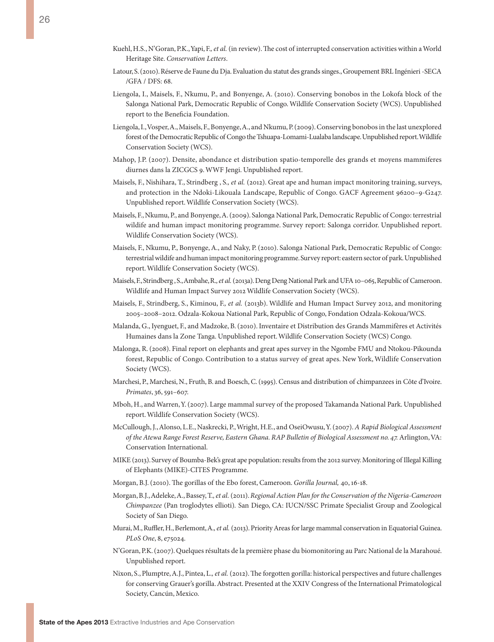- Kuehl, H.S., N'Goran, P.K., Yapi, F.*, et al.* (in review). The cost of interrupted conservation activities within a World Heritage Site. *Conservation Letters*.
- Latour, S. (2010). Réserve de Faune du Dja. Evaluation du statut des grands singes., Groupement BRL Ingénieri -SECA /GFA / DFS: 68.
- Liengola, I., Maisels, F., Nkumu, P., and Bonyenge, A. (2010). Conserving bonobos in the Lokofa block of the Salonga National Park, Democratic Republic of Congo. Wildlife Conservation Society (WCS). Unpublished report to the Beneficia Foundation.
- Liengola, I., Vosper, A., Maisels, F., Bonyenge, A., and Nkumu, P. (2009). Conserving bonobos in the last unexplored forest of the Democratic Republic of Congo the Tshuapa-Lomami-Lualaba landscape. Unpublished report. Wildlife Conservation Society (WCS).
- Mahop, J.P. (2007). Densite, abondance et distribution spatio-temporelle des grands et moyens mammiferes diurnes dans la ZICGCS 9. WWF Jengi. Unpublished report.
- Maisels, F., Nishihara, T., Strindberg , S.*, et al.* (2012). Great ape and human impact monitoring training, surveys, and protection in the Ndoki-Likouala Landscape, Republic of Congo. GACF Agreement 96200–9-G247. Unpublished report. Wildlife Conservation Society (WCS).
- Maisels, F., Nkumu, P., and Bonyenge, A. (2009). Salonga National Park, Democratic Republic of Congo: terrestrial wildife and human impact monitoring programme. Survey report: Salonga corridor. Unpublished report. Wildlife Conservation Society (WCS).
- Maisels, F., Nkumu, P., Bonyenge, A., and Naky, P. (2010). Salonga National Park, Democratic Republic of Congo: terrestrial wildife and human impact monitoring programme. Survey report: eastern sector of park. Unpublished report. Wildlife Conservation Society (WCS).
- Maisels, F., Strindberg , S., Ambahe, R.*, et al.* (2013a). Deng Deng National Park and UFA 10–065, Republic of Cameroon. Wildlife and Human Impact Survey 2012 Wildlife Conservation Society (WCS).
- Maisels, F., Strindberg, S., Kiminou, F.*, et al.* (2013b). Wildlife and Human Impact Survey 2012, and monitoring 2005–2008–2012. Odzala-Kokoua National Park, Republic of Congo, Fondation Odzala-Kokoua/WCS.
- Malanda, G., Iyenguet, F., and Madzoke, B. (2010). Inventaire et Distribution des Grands Mammifères et Activités Humaines dans la Zone Tanga. Unpublished report. Wildlife Conservation Society (WCS) Congo.
- Malonga, R. (2008). Final report on elephants and great apes survey in the Ngombe FMU and Ntokou-Pikounda forest, Republic of Congo. Contribution to a status survey of great apes. New York, Wildlife Conservation Society (WCS).
- Marchesi, P., Marchesi, N., Fruth, B. and Boesch, C. (1995). Census and distribution of chimpanzees in Côte d'Ivoire. *Primates*, 36, 591–607.
- Mboh, H., and Warren, Y. (2007). Large mammal survey of the proposed Takamanda National Park. Unpublished report. Wildlife Conservation Society (WCS).
- McCullough, J., Alonso, L.E., Naskrecki, P., Wright, H.E., and OseiOwusu, Y. (2007). *A Rapid Biological Assessment of the Atewa Range Forest Reserve, Eastern Ghana. RAP Bulletin of Biological Assessment no. 47.* Arlington, VA: Conservation International.
- MIKE (2013). Survey of Boumba-Bek's great ape population: results from the 2012 survey. Monitoring of Illegal Killing of Elephants (MIKE)-CITES Programme.
- Morgan, B.J. (2010). The gorillas of the Ebo forest, Cameroon. *Gorilla Journal,* 40, 16-18.
- Morgan, B.J., Adeleke, A., Bassey, T.*, et al.* (2011). *Regional Action Plan for the Conservation of the Nigeria-Cameroon Chimpanzee* (Pan troglodytes ellioti)*.* San Diego, CA: IUCN/SSC Primate Specialist Group and Zoological Society of San Diego.
- Murai, M., Ruffler, H., Berlemont, A.*, et al.* (2013). Priority Areas for large mammal conservation in Equatorial Guinea. *PLoS One*, 8, e75024.
- N'Goran, P.K. (2007). Quelques résultats de la première phase du biomonitoring au Parc National de la Marahoué. Unpublished report.
- Nixon, S., Plumptre, A.J., Pintea, L.*, et al.* (2012). The forgotten gorilla: historical perspectives and future challenges for conserving Grauer's gorilla. Abstract. Presented at the XXIV Congress of the International Primatological Society, Cancún, Mexico.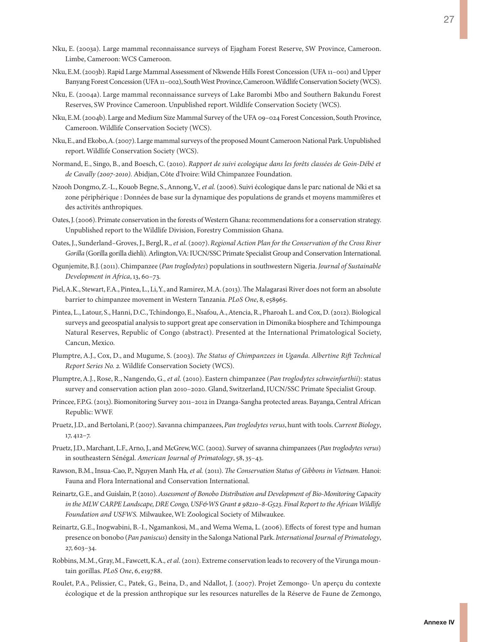- Nku, E. (2003a). Large mammal reconnaissance surveys of Ejagham Forest Reserve, SW Province, Cameroon. Limbe, Cameroon: WCS Cameroon.
- Nku, E.M. (2003b). Rapid Large Mammal Assessment of Nkwende Hills Forest Concession (UFA 11–001) and Upper Banyang Forest Concession (UFA 11–002), South West Province, Cameroon. Wildlife Conservation Society (WCS).
- Nku, E. (2004a). Large mammal reconnaissance surveys of Lake Barombi Mbo and Southern Bakundu Forest Reserves, SW Province Cameroon. Unpublished report. Wildlife Conservation Society (WCS).
- Nku, E.M. (2004b). Large and Medium Size Mammal Survey of the UFA 09–024 Forest Concession, South Province, Cameroon. Wildlife Conservation Society (WCS).
- Nku, E., and Ekobo, A. (2007). Large mammal surveys of the proposed Mount Cameroon National Park. Unpublished report. Wildlife Conservation Society (WCS).
- Normand, E., Singo, B., and Boesch, C. (2010). *Rapport de suivi ecologique dans les forêts classées de Goin-Débé et de Cavally (2007-2010).* Abidjan, Côte d'Ivoire: Wild Chimpanzee Foundation.
- Nzooh Dongmo, Z.-L., Kouob Begne, S., Annong, V.*, et al.* (2006). Suivi écologique dans le parc national de Nki et sa zone périphérique : Données de base sur la dynamique des populations de grands et moyens mammifères et des activités anthropiques.
- Oates, J. (2006). Primate conservation in the forests of Western Ghana: recommendations for a conservation strategy. Unpublished report to the Wildlife Division, Forestry Commission Ghana.
- Oates, J., Sunderland–Groves, J., Bergl, R.*, et al.* (2007). *Regional Action Plan for the Conservation of the Cross River Gorilla* (Gorilla gorilla diehli)*.* Arlington, VA: IUCN/SSC Primate Specialist Group and Conservation International.
- Ogunjemite, B.J. (2011). Chimpanzee (*Pan troglodytes*) populations in southwestern Nigeria. *Journal of Sustainable Development in Africa*, 13, 60–73.
- Piel, A.K., Stewart, F.A., Pintea, L., Li, Y., and Ramirez, M.A. (2013). The Malagarasi River does not form an absolute barrier to chimpanzee movement in Western Tanzania. *PLoS One*, 8, e58965.
- Pintea, L., Latour, S., Hanni, D.C., Tchindongo, E., Nsafou, A., Atencia, R., Pharoah L. and Cox, D. (2012). Biological surveys and geeospatial analysis to support great ape conservation in Dimonika biosphere and Tchimpounga Natural Reserves, Republic of Congo (abstract). Presented at the International Primatological Society, Cancun, Mexico.
- Plumptre, A.J., Cox, D., and Mugume, S. (2003). *The Status of Chimpanzees in Uganda. Albertine Rift Technical Report Series No. 2.* Wildlife Conservation Society (WCS).
- Plumptre, A.J., Rose, R., Nangendo, G.*, et al.* (2010). Eastern chimpanzee (*Pan troglodytes schweinfurthii*): status survey and conservation action plan 2010–2020. Gland, Switzerland, IUCN/SSC Primate Specialist Group.
- Princee, F.P.G. (2013). Biomonitoring Survey 2011–2012 in Dzanga-Sangha protected areas. Bayanga, Central African Republic: WWF.
- Pruetz, J.D., and Bertolani, P. (2007). Savanna chimpanzees, *Pan troglodytes verus*, hunt with tools. *Current Biology*, 17, 412–7.
- Pruetz, J.D., Marchant, L.F., Arno, J., and McGrew, W.C. (2002). Survey of savanna chimpanzees (*Pan troglodytes verus*) in southeastern Sénégal. *American Journal of Primatology*, 58, 35–43.
- Rawson, B.M., Insua-Cao, P., Nguyen Manh Ha*, et al.* (2011). *The Conservation Status of Gibbons in Vietnam.* Hanoi: Fauna and Flora International and Conservation International.
- Reinartz, G.E., and Guislain, P. (2010). *Assessment of Bonobo Distribution and Development of Bio-Monitoring Capacity in the MLW CARPE Landscape, DRE Congo, USF&WS Grant # 98210–8-G523. Final Report to the African Wildlife Foundation and USFWS.* Milwaukee, WI: Zoological Society of Milwaukee.
- Reinartz, G.E., Inogwabini, B.-I., Ngamankosi, M., and Wema Wema, L. (2006). Effects of forest type and human presence on bonobo (*Pan paniscus*) density in the Salonga National Park. *International Journal of Primatology*, 27, 603–34.
- Robbins, M.M., Gray, M., Fawcett, K.A.*, et al.* (2011). Extreme conservation leads to recovery of the Virunga mountain gorillas. *PLoS One*, 6, e19788.
- Roulet, P.A., Pelissier, C., Patek, G., Beina, D., and Ndallot, J. (2007). Projet Zemongo- Un aperçu du contexte écologique et de la pression anthropique sur les resources naturelles de la Réserve de Faune de Zemongo,